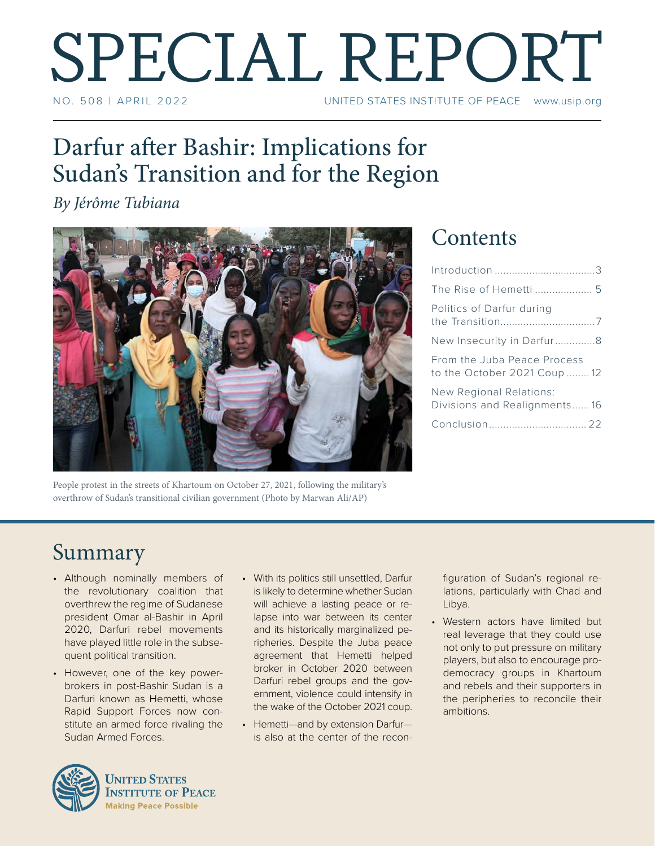# SPECIAL REPORT UNITED STATES INSTITUTE OF PEACE www.usip.org

### Darfur after Bashir: Implications for Sudan's Transition and for the Region

*By Jérôme Tubiana* 



People protest in the streets of Khartoum on October 27, 2021, following the military's overthrow of Sudan's transitional civilian government (Photo by Marwan Ali/AP)

### **Contents**

| The Rise of Hemetti  5                                     |
|------------------------------------------------------------|
| Politics of Darfur during                                  |
| New Insecurity in Darfur8                                  |
| From the Juba Peace Process<br>to the October 2021 Coup 12 |
| New Regional Relations:<br>Divisions and Realignments16    |
|                                                            |
|                                                            |

### Summary

- Although nominally members of the revolutionary coalition that overthrew the regime of Sudanese president Omar al-Bashir in April 2020, Darfuri rebel movements have played little role in the subsequent political transition.
- However, one of the key powerbrokers in post-Bashir Sudan is a Darfuri known as Hemetti, whose Rapid Support Forces now constitute an armed force rivaling the Sudan Armed Forces.



• Hemetti—and by extension Darfur is also at the center of the reconfiguration of Sudan's regional relations, particularly with Chad and Libya.

• Western actors have limited but real leverage that they could use not only to put pressure on military players, but also to encourage prodemocracy groups in Khartoum and rebels and their supporters in the peripheries to reconcile their ambitions.



**UNITED STATES INSTITUTE OF PEACE Making Peace Possible**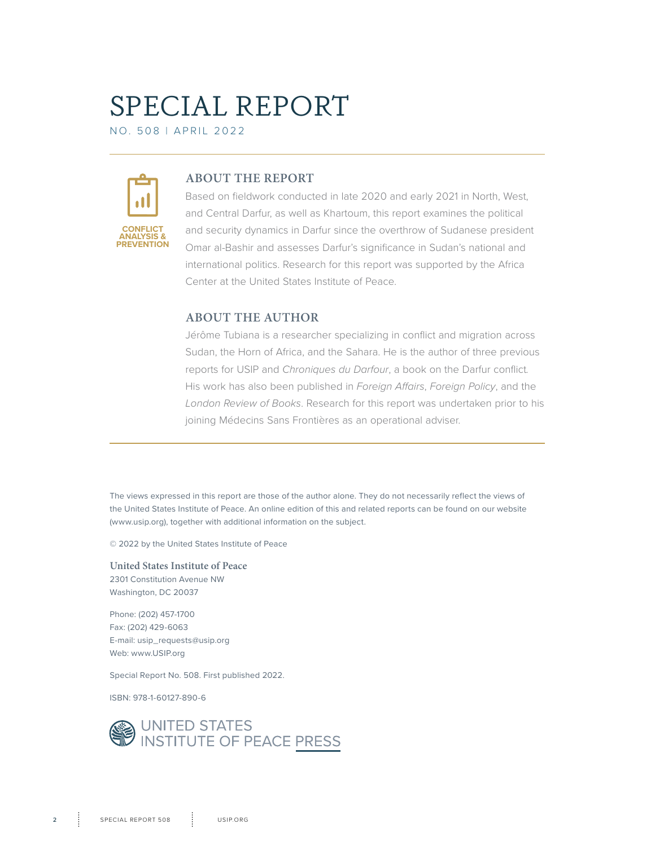## SPECIAL REPORT

NO. 508 | April 2022



#### **ABOUT THE REPORT**

Based on fieldwork conducted in late 2020 and early 2021 in North, West, and Central Darfur, as well as Khartoum, this report examines the political and security dynamics in Darfur since the overthrow of Sudanese president Omar al-Bashir and assesses Darfur's significance in Sudan's national and international politics. Research for this report was supported by the Africa Center at the United States Institute of Peace.

#### **ABOUT THE AUTHOR**

Jérôme Tubiana is a researcher specializing in conflict and migration across Sudan, the Horn of Africa, and the Sahara. He is the author of three previous reports for USIP and *Chroniques du Darfour*, a book on the Darfur conflict*.* His work has also been published in *Foreign Affairs*, *Foreign Policy*, and the *London Review of Books*. Research for this report was undertaken prior to his joining Médecins Sans Frontières as an operational adviser.

The views expressed in this report are those of the author alone. They do not necessarily reflect the views of the United States Institute of Peace. An online edition of this and related reports can be found on our website (www.usip.org), together with additional information on the subject.

© 2022 by the United States Institute of Peace

**United States Institute of Peace** 2301 Constitution Avenue NW Washington, DC 20037

Phone: (202) 457-1700 Fax: (202) 429-6063 E-mail: usip\_requests@usip.org Web: www.USIP.org

Special Report No. 508. First published 2022.

ISBN: 978-1-60127-890-6

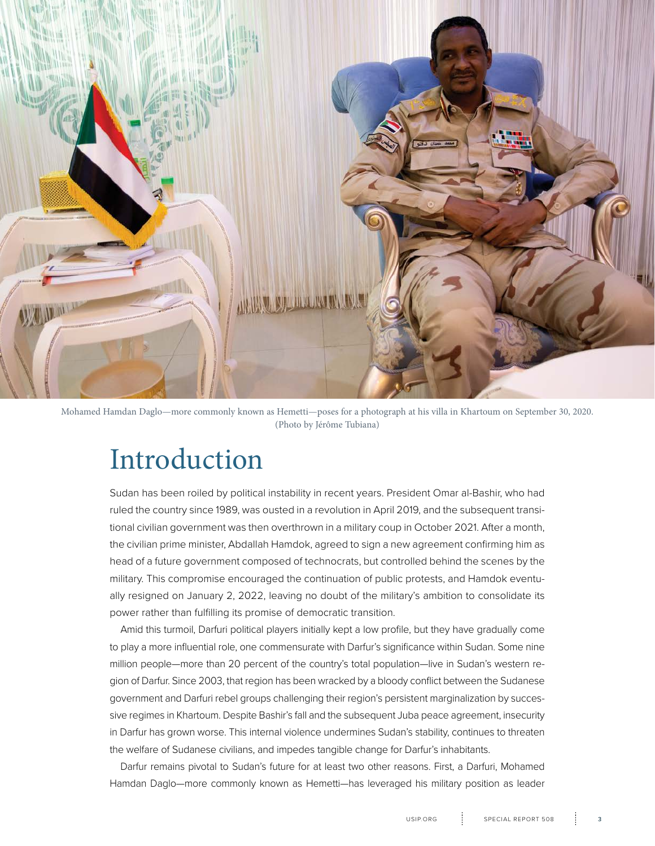<span id="page-2-0"></span>

Mohamed Hamdan Daglo—more commonly known as Hemetti—poses for a photograph at his villa in Khartoum on September 30, 2020. (Photo by Jérôme Tubiana)

### Introduction

Sudan has been roiled by political instability in recent years. President Omar al-Bashir, who had ruled the country since 1989, was ousted in a revolution in April 2019, and the subsequent transitional civilian government was then overthrown in a military coup in October 2021. After a month, the civilian prime minister, Abdallah Hamdok, agreed to sign a new agreement confirming him as head of a future government composed of technocrats, but controlled behind the scenes by the military. This compromise encouraged the continuation of public protests, and Hamdok eventually resigned on January 2, 2022, leaving no doubt of the military's ambition to consolidate its power rather than fulfilling its promise of democratic transition.

Amid this turmoil, Darfuri political players initially kept a low profile, but they have gradually come to play a more influential role, one commensurate with Darfur's significance within Sudan. Some nine million people—more than 20 percent of the country's total population—live in Sudan's western region of Darfur. Since 2003, that region has been wracked by a bloody conflict between the Sudanese government and Darfuri rebel groups challenging their region's persistent marginalization by successive regimes in Khartoum. Despite Bashir's fall and the subsequent Juba peace agreement, insecurity in Darfur has grown worse. This internal violence undermines Sudan's stability, continues to threaten the welfare of Sudanese civilians, and impedes tangible change for Darfur's inhabitants.

Darfur remains pivotal to Sudan's future for at least two other reasons. First, a Darfuri, Mohamed Hamdan Daglo—more commonly known as Hemetti—has leveraged his military position as leader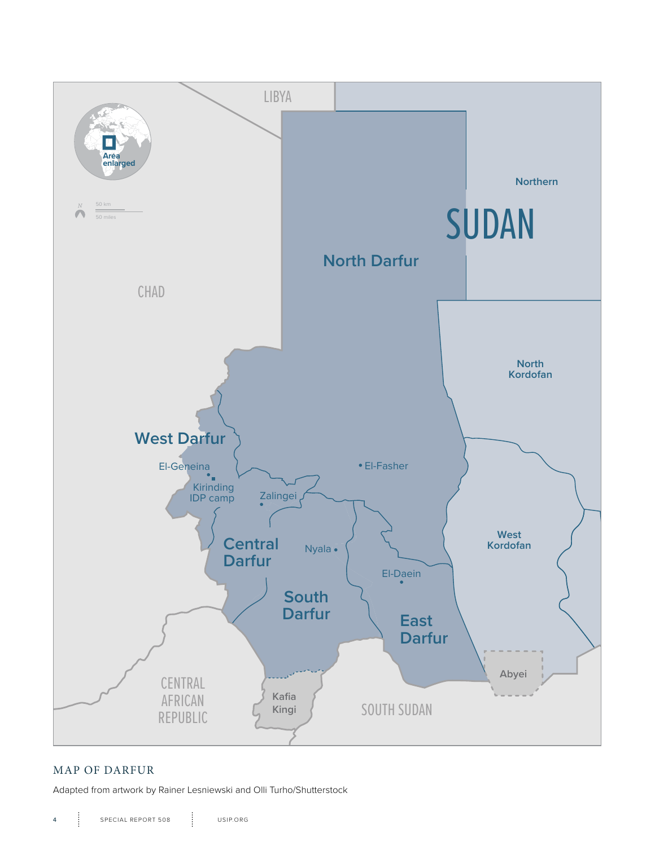

#### MAP OF DARFUR

Adapted from artwork by Rainer Lesniewski and Olli Turho/Shutterstock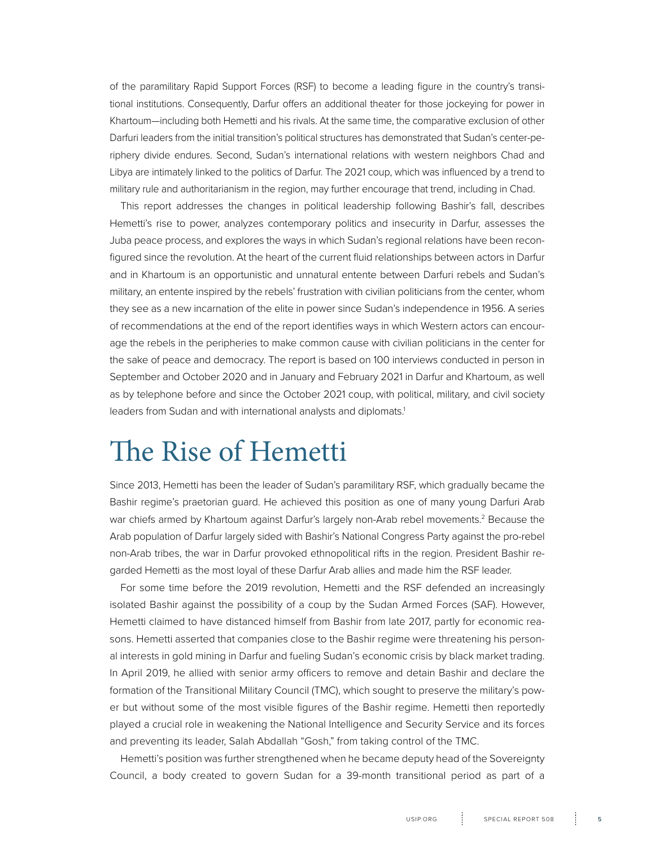<span id="page-4-0"></span>of the paramilitary Rapid Support Forces (RSF) to become a leading figure in the country's transitional institutions. Consequently, Darfur offers an additional theater for those jockeying for power in Khartoum—including both Hemetti and his rivals. At the same time, the comparative exclusion of other Darfuri leaders from the initial transition's political structures has demonstrated that Sudan's center-periphery divide endures. Second, Sudan's international relations with western neighbors Chad and Libya are intimately linked to the politics of Darfur. The 2021 coup, which was influenced by a trend to military rule and authoritarianism in the region, may further encourage that trend, including in Chad.

This report addresses the changes in political leadership following Bashir's fall, describes Hemetti's rise to power, analyzes contemporary politics and insecurity in Darfur, assesses the Juba peace process, and explores the ways in which Sudan's regional relations have been reconfigured since the revolution. At the heart of the current fluid relationships between actors in Darfur and in Khartoum is an opportunistic and unnatural entente between Darfuri rebels and Sudan's military, an entente inspired by the rebels' frustration with civilian politicians from the center, whom they see as a new incarnation of the elite in power since Sudan's independence in 1956. A series of recommendations at the end of the report identifies ways in which Western actors can encourage the rebels in the peripheries to make common cause with civilian politicians in the center for the sake of peace and democracy. The report is based on 100 interviews conducted in person in September and October 2020 and in January and February 2021 in Darfur and Khartoum, as well as by telephone before and since the October 2021 coup, with political, military, and civil society leaders from Sudan and with international analysts and diplomats.<sup>1</sup>

### The Rise of Hemetti

Since 2013, Hemetti has been the leader of Sudan's paramilitary RSF, which gradually became the Bashir regime's praetorian guard. He achieved this position as one of many young Darfuri Arab war chiefs armed by Khartoum against Darfur's largely non-Arab rebel movements.<sup>2</sup> Because the Arab population of Darfur largely sided with Bashir's National Congress Party against the pro-rebel non-Arab tribes, the war in Darfur provoked ethnopolitical rifts in the region. President Bashir regarded Hemetti as the most loyal of these Darfur Arab allies and made him the RSF leader.

For some time before the 2019 revolution, Hemetti and the RSF defended an increasingly isolated Bashir against the possibility of a coup by the Sudan Armed Forces (SAF). However, Hemetti claimed to have distanced himself from Bashir from late 2017, partly for economic reasons. Hemetti asserted that companies close to the Bashir regime were threatening his personal interests in gold mining in Darfur and fueling Sudan's economic crisis by black market trading. In April 2019, he allied with senior army officers to remove and detain Bashir and declare the formation of the Transitional Military Council (TMC), which sought to preserve the military's power but without some of the most visible figures of the Bashir regime. Hemetti then reportedly played a crucial role in weakening the National Intelligence and Security Service and its forces and preventing its leader, Salah Abdallah "Gosh," from taking control of the TMC.

Hemetti's position was further strengthened when he became deputy head of the Sovereignty Council, a body created to govern Sudan for a 39-month transitional period as part of a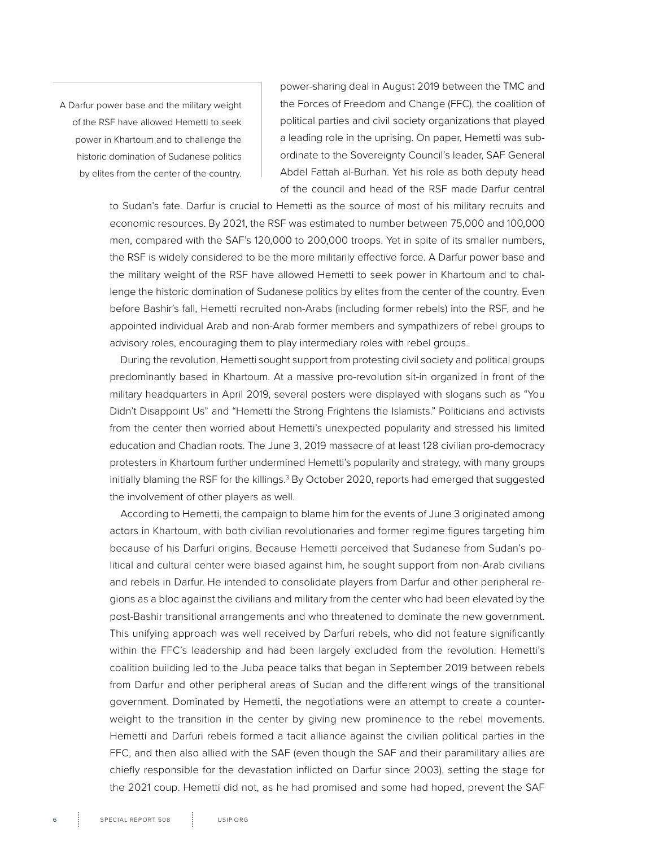A Darfur power base and the military weight of the RSF have allowed Hemetti to seek power in Khartoum and to challenge the historic domination of Sudanese politics by elites from the center of the country.

power-sharing deal in August 2019 between the TMC and the Forces of Freedom and Change (FFC), the coalition of political parties and civil society organizations that played a leading role in the uprising. On paper, Hemetti was subordinate to the Sovereignty Council's leader, SAF General Abdel Fattah al-Burhan. Yet his role as both deputy head of the council and head of the RSF made Darfur central

to Sudan's fate. Darfur is crucial to Hemetti as the source of most of his military recruits and economic resources. By 2021, the RSF was estimated to number between 75,000 and 100,000 men, compared with the SAF's 120,000 to 200,000 troops. Yet in spite of its smaller numbers, the RSF is widely considered to be the more militarily effective force. A Darfur power base and the military weight of the RSF have allowed Hemetti to seek power in Khartoum and to challenge the historic domination of Sudanese politics by elites from the center of the country. Even before Bashir's fall, Hemetti recruited non-Arabs (including former rebels) into the RSF, and he appointed individual Arab and non-Arab former members and sympathizers of rebel groups to advisory roles, encouraging them to play intermediary roles with rebel groups.

During the revolution, Hemetti sought support from protesting civil society and political groups predominantly based in Khartoum. At a massive pro-revolution sit-in organized in front of the military headquarters in April 2019, several posters were displayed with slogans such as "You Didn't Disappoint Us" and "Hemetti the Strong Frightens the Islamists." Politicians and activists from the center then worried about Hemetti's unexpected popularity and stressed his limited education and Chadian roots. The June 3, 2019 massacre of at least 128 civilian pro-democracy protesters in Khartoum further undermined Hemetti's popularity and strategy, with many groups initially blaming the RSF for the killings.<sup>3</sup> By October 2020, reports had emerged that suggested the involvement of other players as well.

According to Hemetti, the campaign to blame him for the events of June 3 originated among actors in Khartoum, with both civilian revolutionaries and former regime figures targeting him because of his Darfuri origins. Because Hemetti perceived that Sudanese from Sudan's political and cultural center were biased against him, he sought support from non-Arab civilians and rebels in Darfur. He intended to consolidate players from Darfur and other peripheral regions as a bloc against the civilians and military from the center who had been elevated by the post-Bashir transitional arrangements and who threatened to dominate the new government. This unifying approach was well received by Darfuri rebels, who did not feature significantly within the FFC's leadership and had been largely excluded from the revolution. Hemetti's coalition building led to the Juba peace talks that began in September 2019 between rebels from Darfur and other peripheral areas of Sudan and the different wings of the transitional government. Dominated by Hemetti, the negotiations were an attempt to create a counterweight to the transition in the center by giving new prominence to the rebel movements. Hemetti and Darfuri rebels formed a tacit alliance against the civilian political parties in the FFC, and then also allied with the SAF (even though the SAF and their paramilitary allies are chiefly responsible for the devastation inflicted on Darfur since 2003), setting the stage for the 2021 coup. Hemetti did not, as he had promised and some had hoped, prevent the SAF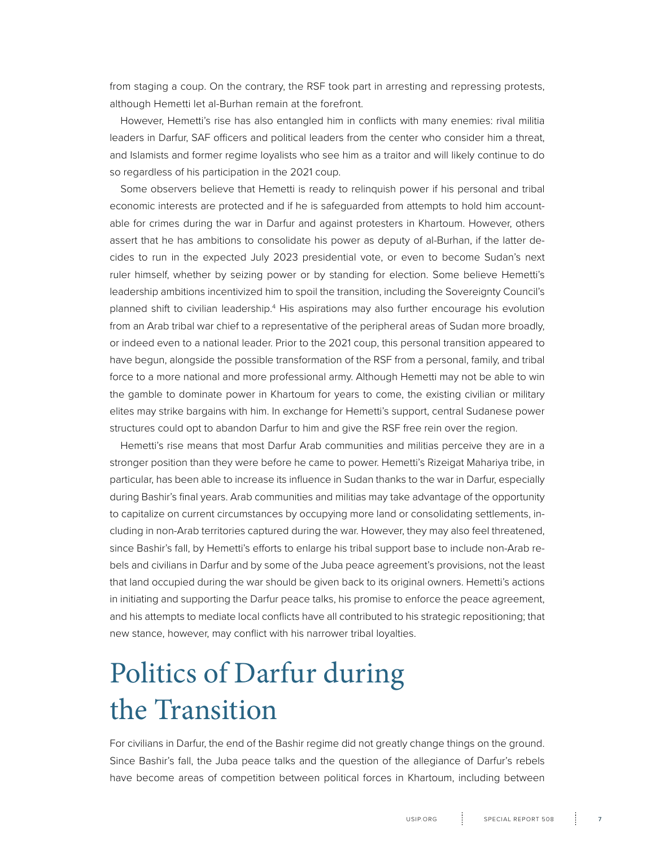<span id="page-6-0"></span>from staging a coup. On the contrary, the RSF took part in arresting and repressing protests, although Hemetti let al-Burhan remain at the forefront.

However, Hemetti's rise has also entangled him in conflicts with many enemies: rival militia leaders in Darfur, SAF officers and political leaders from the center who consider him a threat, and Islamists and former regime loyalists who see him as a traitor and will likely continue to do so regardless of his participation in the 2021 coup.

Some observers believe that Hemetti is ready to relinquish power if his personal and tribal economic interests are protected and if he is safeguarded from attempts to hold him accountable for crimes during the war in Darfur and against protesters in Khartoum. However, others assert that he has ambitions to consolidate his power as deputy of al-Burhan, if the latter decides to run in the expected July 2023 presidential vote, or even to become Sudan's next ruler himself, whether by seizing power or by standing for election. Some believe Hemetti's leadership ambitions incentivized him to spoil the transition, including the Sovereignty Council's planned shift to civilian leadership.<sup>4</sup> His aspirations may also further encourage his evolution from an Arab tribal war chief to a representative of the peripheral areas of Sudan more broadly, or indeed even to a national leader. Prior to the 2021 coup, this personal transition appeared to have begun, alongside the possible transformation of the RSF from a personal, family, and tribal force to a more national and more professional army. Although Hemetti may not be able to win the gamble to dominate power in Khartoum for years to come, the existing civilian or military elites may strike bargains with him. In exchange for Hemetti's support, central Sudanese power structures could opt to abandon Darfur to him and give the RSF free rein over the region.

Hemetti's rise means that most Darfur Arab communities and militias perceive they are in a stronger position than they were before he came to power. Hemetti's Rizeigat Mahariya tribe, in particular, has been able to increase its influence in Sudan thanks to the war in Darfur, especially during Bashir's final years. Arab communities and militias may take advantage of the opportunity to capitalize on current circumstances by occupying more land or consolidating settlements, including in non-Arab territories captured during the war. However, they may also feel threatened, since Bashir's fall, by Hemetti's efforts to enlarge his tribal support base to include non-Arab rebels and civilians in Darfur and by some of the Juba peace agreement's provisions, not the least that land occupied during the war should be given back to its original owners. Hemetti's actions in initiating and supporting the Darfur peace talks, his promise to enforce the peace agreement, and his attempts to mediate local conflicts have all contributed to his strategic repositioning; that new stance, however, may conflict with his narrower tribal loyalties.

## Politics of Darfur during the Transition

For civilians in Darfur, the end of the Bashir regime did not greatly change things on the ground. Since Bashir's fall, the Juba peace talks and the question of the allegiance of Darfur's rebels have become areas of competition between political forces in Khartoum, including between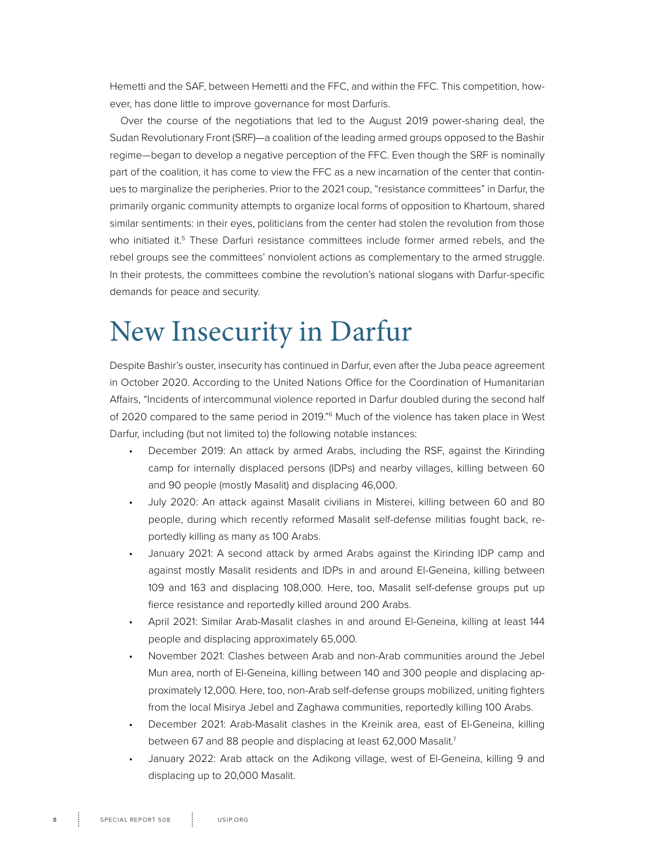<span id="page-7-0"></span>Hemetti and the SAF, between Hemetti and the FFC, and within the FFC. This competition, however, has done little to improve governance for most Darfuris.

Over the course of the negotiations that led to the August 2019 power-sharing deal, the Sudan Revolutionary Front (SRF)—a coalition of the leading armed groups opposed to the Bashir regime—began to develop a negative perception of the FFC. Even though the SRF is nominally part of the coalition, it has come to view the FFC as a new incarnation of the center that continues to marginalize the peripheries. Prior to the 2021 coup, "resistance committees" in Darfur, the primarily organic community attempts to organize local forms of opposition to Khartoum, shared similar sentiments: in their eyes, politicians from the center had stolen the revolution from those who initiated it.<sup>5</sup> These Darfuri resistance committees include former armed rebels, and the rebel groups see the committees' nonviolent actions as complementary to the armed struggle. In their protests, the committees combine the revolution's national slogans with Darfur-specific demands for peace and security.

### New Insecurity in Darfur

Despite Bashir's ouster, insecurity has continued in Darfur, even after the Juba peace agreement in October 2020. According to the United Nations Office for the Coordination of Humanitarian Affairs, "Incidents of intercommunal violence reported in Darfur doubled during the second half of 2020 compared to the same period in 2019."6 Much of the violence has taken place in West Darfur, including (but not limited to) the following notable instances:

- December 2019: An attack by armed Arabs, including the RSF, against the Kirinding camp for internally displaced persons (IDPs) and nearby villages, killing between 60 and 90 people (mostly Masalit) and displacing 46,000.
- July 2020: An attack against Masalit civilians in Misterei, killing between 60 and 80 people, during which recently reformed Masalit self-defense militias fought back, reportedly killing as many as 100 Arabs.
- January 2021: A second attack by armed Arabs against the Kirinding IDP camp and against mostly Masalit residents and IDPs in and around El-Geneina, killing between 109 and 163 and displacing 108,000. Here, too, Masalit self-defense groups put up fierce resistance and reportedly killed around 200 Arabs.
- April 2021: Similar Arab-Masalit clashes in and around El-Geneina, killing at least 144 people and displacing approximately 65,000.
- November 2021: Clashes between Arab and non-Arab communities around the Jebel Mun area, north of El-Geneina, killing between 140 and 300 people and displacing approximately 12,000. Here, too, non-Arab self-defense groups mobilized, uniting fighters from the local Misirya Jebel and Zaghawa communities, reportedly killing 100 Arabs.
- December 2021: Arab-Masalit clashes in the Kreinik area, east of El-Geneina, killing between 67 and 88 people and displacing at least 62,000 Masalit.<sup>7</sup>
- January 2022: Arab attack on the Adikong village, west of El-Geneina, killing 9 and displacing up to 20,000 Masalit.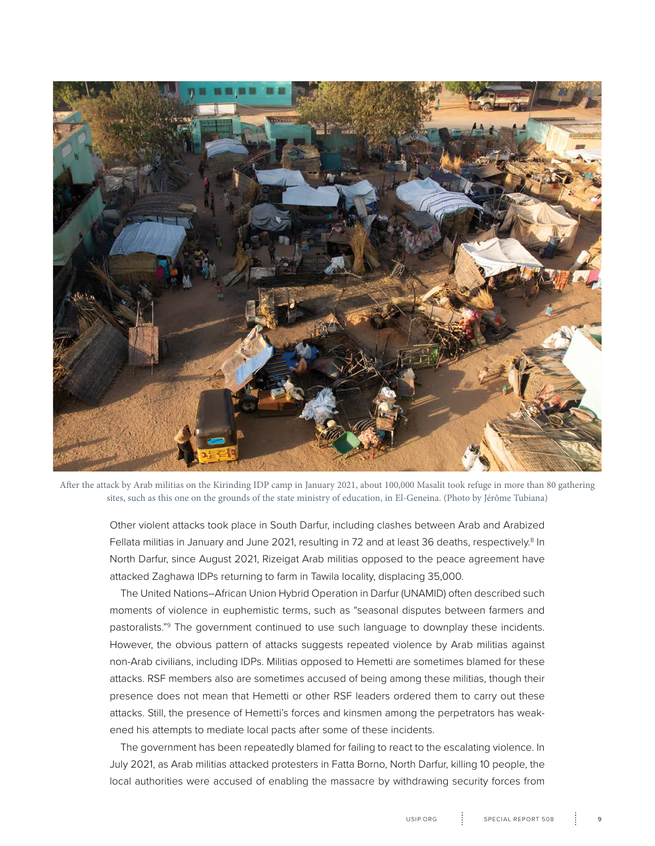

After the attack by Arab militias on the Kirinding IDP camp in January 2021, about 100,000 Masalit took refuge in more than 80 gathering sites, such as this one on the grounds of the state ministry of education, in El-Geneina. (Photo by Jérôme Tubiana)

Other violent attacks took place in South Darfur, including clashes between Arab and Arabized Fellata militias in January and June 2021, resulting in 72 and at least 36 deaths, respectively.<sup>8</sup> In North Darfur, since August 2021, Rizeigat Arab militias opposed to the peace agreement have attacked Zaghawa IDPs returning to farm in Tawila locality, displacing 35,000.

The United Nations–African Union Hybrid Operation in Darfur (UNAMID) often described such moments of violence in euphemistic terms, such as "seasonal disputes between farmers and pastoralists."9 The government continued to use such language to downplay these incidents. However, the obvious pattern of attacks suggests repeated violence by Arab militias against non-Arab civilians, including IDPs. Militias opposed to Hemetti are sometimes blamed for these attacks. RSF members also are sometimes accused of being among these militias, though their presence does not mean that Hemetti or other RSF leaders ordered them to carry out these attacks. Still, the presence of Hemetti's forces and kinsmen among the perpetrators has weakened his attempts to mediate local pacts after some of these incidents.

The government has been repeatedly blamed for failing to react to the escalating violence. In July 2021, as Arab militias attacked protesters in Fatta Borno, North Darfur, killing 10 people, the local authorities were accused of enabling the massacre by withdrawing security forces from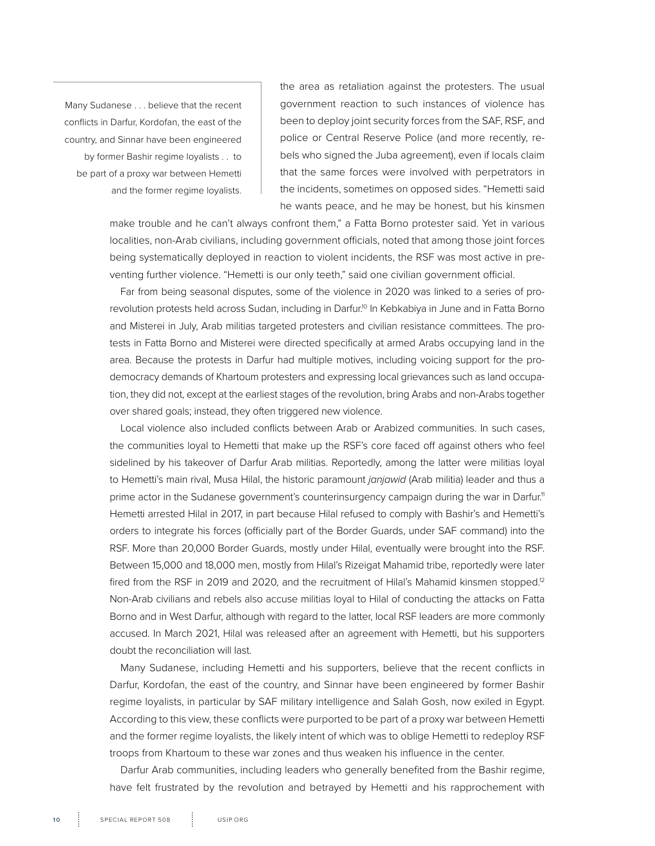Many Sudanese . . . believe that the recent conflicts in Darfur, Kordofan, the east of the country, and Sinnar have been engineered by former Bashir regime loyalists . . to be part of a proxy war between Hemetti and the former regime loyalists.

the area as retaliation against the protesters. The usual government reaction to such instances of violence has been to deploy joint security forces from the SAF, RSF, and police or Central Reserve Police (and more recently, rebels who signed the Juba agreement), even if locals claim that the same forces were involved with perpetrators in the incidents, sometimes on opposed sides. "Hemetti said he wants peace, and he may be honest, but his kinsmen

make trouble and he can't always confront them," a Fatta Borno protester said. Yet in various localities, non-Arab civilians, including government officials, noted that among those joint forces being systematically deployed in reaction to violent incidents, the RSF was most active in preventing further violence. "Hemetti is our only teeth," said one civilian government official.

Far from being seasonal disputes, some of the violence in 2020 was linked to a series of prorevolution protests held across Sudan, including in Darfur.10 In Kebkabiya in June and in Fatta Borno and Misterei in July, Arab militias targeted protesters and civilian resistance committees. The protests in Fatta Borno and Misterei were directed specifically at armed Arabs occupying land in the area. Because the protests in Darfur had multiple motives, including voicing support for the prodemocracy demands of Khartoum protesters and expressing local grievances such as land occupation, they did not, except at the earliest stages of the revolution, bring Arabs and non-Arabs together over shared goals; instead, they often triggered new violence.

Local violence also included conflicts between Arab or Arabized communities. In such cases, the communities loyal to Hemetti that make up the RSF's core faced off against others who feel sidelined by his takeover of Darfur Arab militias. Reportedly, among the latter were militias loyal to Hemetti's main rival, Musa Hilal, the historic paramount *janjawid* (Arab militia) leader and thus a prime actor in the Sudanese government's counterinsurgency campaign during the war in Darfur.<sup>11</sup> Hemetti arrested Hilal in 2017, in part because Hilal refused to comply with Bashir's and Hemetti's orders to integrate his forces (officially part of the Border Guards, under SAF command) into the RSF. More than 20,000 Border Guards, mostly under Hilal, eventually were brought into the RSF. Between 15,000 and 18,000 men, mostly from Hilal's Rizeigat Mahamid tribe, reportedly were later fired from the RSF in 2019 and 2020, and the recruitment of Hilal's Mahamid kinsmen stopped.<sup>12</sup> Non-Arab civilians and rebels also accuse militias loyal to Hilal of conducting the attacks on Fatta Borno and in West Darfur, although with regard to the latter, local RSF leaders are more commonly accused. In March 2021, Hilal was released after an agreement with Hemetti, but his supporters doubt the reconciliation will last.

Many Sudanese, including Hemetti and his supporters, believe that the recent conflicts in Darfur, Kordofan, the east of the country, and Sinnar have been engineered by former Bashir regime loyalists, in particular by SAF military intelligence and Salah Gosh, now exiled in Egypt. According to this view, these conflicts were purported to be part of a proxy war between Hemetti and the former regime loyalists, the likely intent of which was to oblige Hemetti to redeploy RSF troops from Khartoum to these war zones and thus weaken his influence in the center.

Darfur Arab communities, including leaders who generally benefited from the Bashir regime, have felt frustrated by the revolution and betrayed by Hemetti and his rapprochement with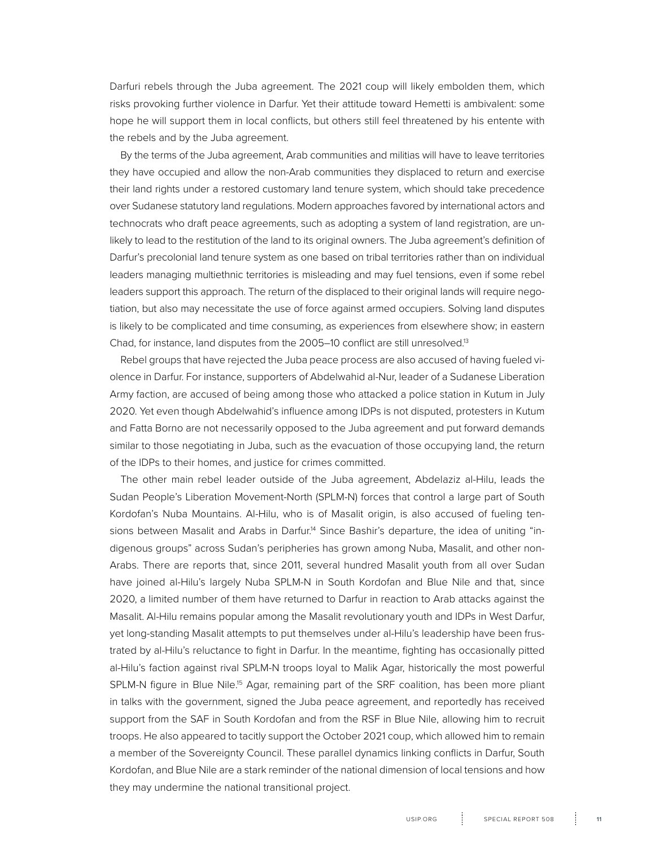Darfuri rebels through the Juba agreement. The 2021 coup will likely embolden them, which risks provoking further violence in Darfur. Yet their attitude toward Hemetti is ambivalent: some hope he will support them in local conflicts, but others still feel threatened by his entente with the rebels and by the Juba agreement.

By the terms of the Juba agreement, Arab communities and militias will have to leave territories they have occupied and allow the non-Arab communities they displaced to return and exercise their land rights under a restored customary land tenure system, which should take precedence over Sudanese statutory land regulations. Modern approaches favored by international actors and technocrats who draft peace agreements, such as adopting a system of land registration, are unlikely to lead to the restitution of the land to its original owners. The Juba agreement's definition of Darfur's precolonial land tenure system as one based on tribal territories rather than on individual leaders managing multiethnic territories is misleading and may fuel tensions, even if some rebel leaders support this approach. The return of the displaced to their original lands will require negotiation, but also may necessitate the use of force against armed occupiers. Solving land disputes is likely to be complicated and time consuming, as experiences from elsewhere show; in eastern Chad, for instance, land disputes from the 2005–10 conflict are still unresolved.<sup>13</sup>

Rebel groups that have rejected the Juba peace process are also accused of having fueled violence in Darfur. For instance, supporters of Abdelwahid al-Nur, leader of a Sudanese Liberation Army faction, are accused of being among those who attacked a police station in Kutum in July 2020. Yet even though Abdelwahid's influence among IDPs is not disputed, protesters in Kutum and Fatta Borno are not necessarily opposed to the Juba agreement and put forward demands similar to those negotiating in Juba, such as the evacuation of those occupying land, the return of the IDPs to their homes, and justice for crimes committed.

The other main rebel leader outside of the Juba agreement, Abdelaziz al-Hilu, leads the Sudan People's Liberation Movement-North (SPLM-N) forces that control a large part of South Kordofan's Nuba Mountains. Al-Hilu, who is of Masalit origin, is also accused of fueling tensions between Masalit and Arabs in Darfur.<sup>14</sup> Since Bashir's departure, the idea of uniting "indigenous groups" across Sudan's peripheries has grown among Nuba, Masalit, and other non-Arabs. There are reports that, since 2011, several hundred Masalit youth from all over Sudan have joined al-Hilu's largely Nuba SPLM-N in South Kordofan and Blue Nile and that, since 2020, a limited number of them have returned to Darfur in reaction to Arab attacks against the Masalit. Al-Hilu remains popular among the Masalit revolutionary youth and IDPs in West Darfur, yet long-standing Masalit attempts to put themselves under al-Hilu's leadership have been frustrated by al-Hilu's reluctance to fight in Darfur. In the meantime, fighting has occasionally pitted al-Hilu's faction against rival SPLM-N troops loyal to Malik Agar, historically the most powerful SPLM-N figure in Blue Nile.<sup>15</sup> Agar, remaining part of the SRF coalition, has been more pliant in talks with the government, signed the Juba peace agreement, and reportedly has received support from the SAF in South Kordofan and from the RSF in Blue Nile, allowing him to recruit troops. He also appeared to tacitly support the October 2021 coup, which allowed him to remain a member of the Sovereignty Council. These parallel dynamics linking conflicts in Darfur, South Kordofan, and Blue Nile are a stark reminder of the national dimension of local tensions and how they may undermine the national transitional project.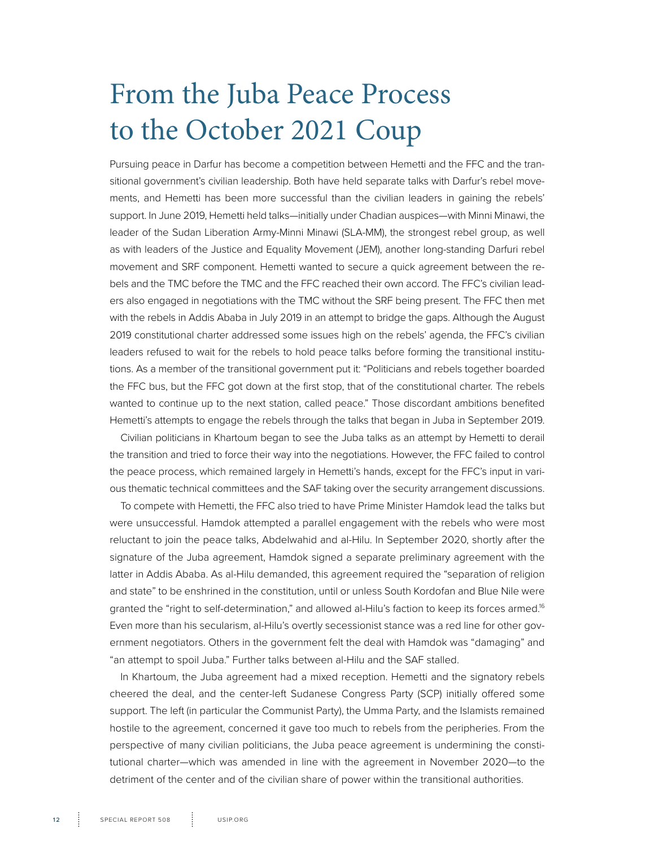## <span id="page-11-0"></span>From the Juba Peace Process to the October 2021 Coup

Pursuing peace in Darfur has become a competition between Hemetti and the FFC and the transitional government's civilian leadership. Both have held separate talks with Darfur's rebel movements, and Hemetti has been more successful than the civilian leaders in gaining the rebels' support. In June 2019, Hemetti held talks—initially under Chadian auspices—with Minni Minawi, the leader of the Sudan Liberation Army-Minni Minawi (SLA-MM), the strongest rebel group, as well as with leaders of the Justice and Equality Movement (JEM), another long-standing Darfuri rebel movement and SRF component. Hemetti wanted to secure a quick agreement between the rebels and the TMC before the TMC and the FFC reached their own accord. The FFC's civilian leaders also engaged in negotiations with the TMC without the SRF being present. The FFC then met with the rebels in Addis Ababa in July 2019 in an attempt to bridge the gaps. Although the August 2019 constitutional charter addressed some issues high on the rebels' agenda, the FFC's civilian leaders refused to wait for the rebels to hold peace talks before forming the transitional institutions. As a member of the transitional government put it: "Politicians and rebels together boarded the FFC bus, but the FFC got down at the first stop, that of the constitutional charter. The rebels wanted to continue up to the next station, called peace." Those discordant ambitions benefited Hemetti's attempts to engage the rebels through the talks that began in Juba in September 2019.

Civilian politicians in Khartoum began to see the Juba talks as an attempt by Hemetti to derail the transition and tried to force their way into the negotiations. However, the FFC failed to control the peace process, which remained largely in Hemetti's hands, except for the FFC's input in various thematic technical committees and the SAF taking over the security arrangement discussions.

To compete with Hemetti, the FFC also tried to have Prime Minister Hamdok lead the talks but were unsuccessful. Hamdok attempted a parallel engagement with the rebels who were most reluctant to join the peace talks, Abdelwahid and al-Hilu. In September 2020, shortly after the signature of the Juba agreement, Hamdok signed a separate preliminary agreement with the latter in Addis Ababa. As al-Hilu demanded, this agreement required the "separation of religion and state" to be enshrined in the constitution, until or unless South Kordofan and Blue Nile were granted the "right to self-determination," and allowed al-Hilu's faction to keep its forces armed.<sup>16</sup> Even more than his secularism, al-Hilu's overtly secessionist stance was a red line for other government negotiators. Others in the government felt the deal with Hamdok was "damaging" and "an attempt to spoil Juba." Further talks between al-Hilu and the SAF stalled.

In Khartoum, the Juba agreement had a mixed reception. Hemetti and the signatory rebels cheered the deal, and the center-left Sudanese Congress Party (SCP) initially offered some support. The left (in particular the Communist Party), the Umma Party, and the Islamists remained hostile to the agreement, concerned it gave too much to rebels from the peripheries. From the perspective of many civilian politicians, the Juba peace agreement is undermining the constitutional charter—which was amended in line with the agreement in November 2020—to the detriment of the center and of the civilian share of power within the transitional authorities.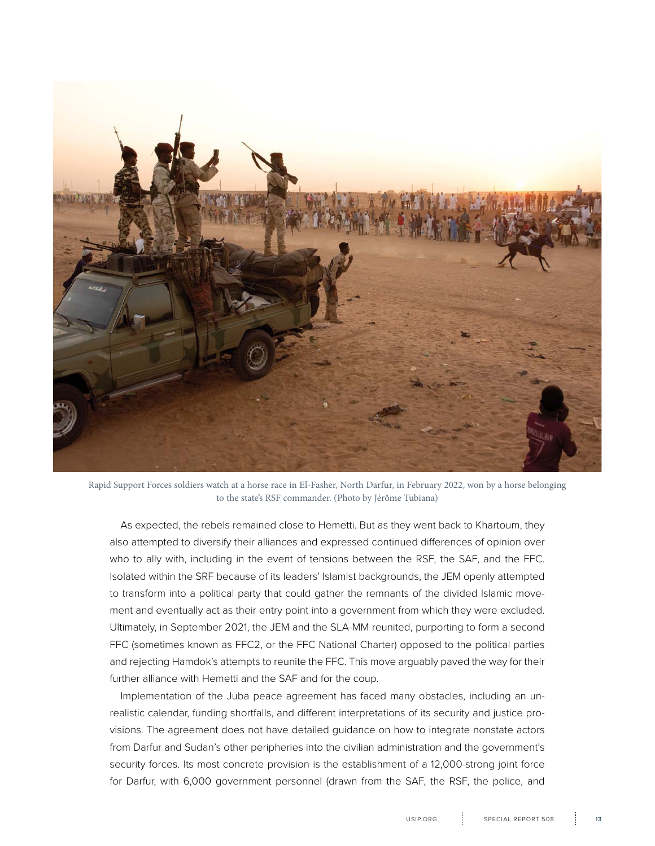

Rapid Support Forces soldiers watch at a horse race in El-Fasher, North Darfur, in February 2022, won by a horse belonging to the state's RSF commander. (Photo by Jérôme Tubiana)

As expected, the rebels remained close to Hemetti. But as they went back to Khartoum, they also attempted to diversify their alliances and expressed continued differences of opinion over who to ally with, including in the event of tensions between the RSF, the SAF, and the FFC. Isolated within the SRF because of its leaders' Islamist backgrounds, the JEM openly attempted to transform into a political party that could gather the remnants of the divided Islamic movement and eventually act as their entry point into a government from which they were excluded. Ultimately, in September 2021, the JEM and the SLA-MM reunited, purporting to form a second FFC (sometimes known as FFC2, or the FFC National Charter) opposed to the political parties and rejecting Hamdok's attempts to reunite the FFC. This move arguably paved the way for their further alliance with Hemetti and the SAF and for the coup.

Implementation of the Juba peace agreement has faced many obstacles, including an unrealistic calendar, funding shortfalls, and different interpretations of its security and justice provisions. The agreement does not have detailed guidance on how to integrate nonstate actors from Darfur and Sudan's other peripheries into the civilian administration and the government's security forces. Its most concrete provision is the establishment of a 12,000-strong joint force for Darfur, with 6,000 government personnel (drawn from the SAF, the RSF, the police, and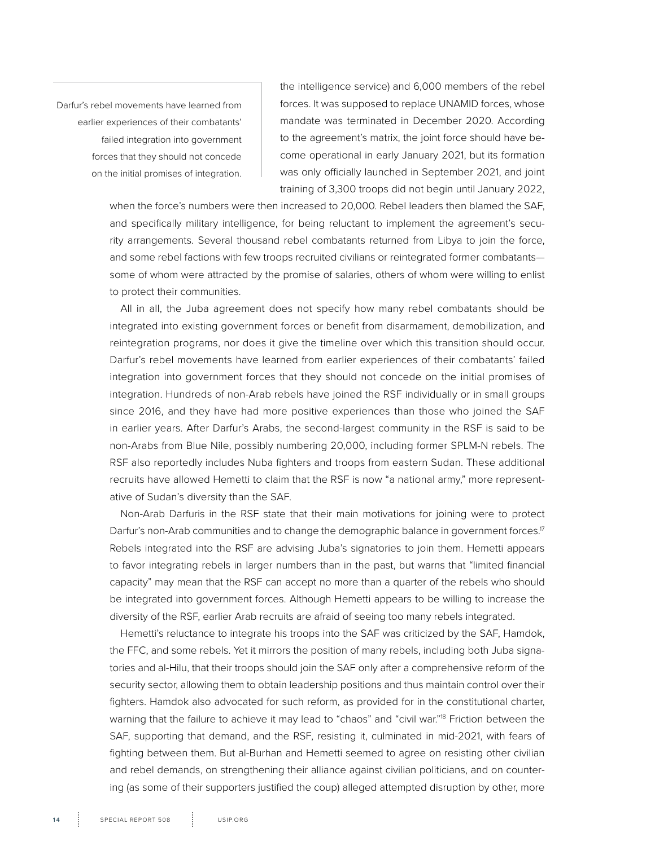Darfur's rebel movements have learned from earlier experiences of their combatants' failed integration into government forces that they should not concede on the initial promises of integration.

the intelligence service) and 6,000 members of the rebel forces. It was supposed to replace UNAMID forces, whose mandate was terminated in December 2020. According to the agreement's matrix, the joint force should have become operational in early January 2021, but its formation was only officially launched in September 2021, and joint training of 3,300 troops did not begin until January 2022,

when the force's numbers were then increased to 20,000. Rebel leaders then blamed the SAF, and specifically military intelligence, for being reluctant to implement the agreement's security arrangements. Several thousand rebel combatants returned from Libya to join the force, and some rebel factions with few troops recruited civilians or reintegrated former combatants some of whom were attracted by the promise of salaries, others of whom were willing to enlist to protect their communities.

All in all, the Juba agreement does not specify how many rebel combatants should be integrated into existing government forces or benefit from disarmament, demobilization, and reintegration programs, nor does it give the timeline over which this transition should occur. Darfur's rebel movements have learned from earlier experiences of their combatants' failed integration into government forces that they should not concede on the initial promises of integration. Hundreds of non-Arab rebels have joined the RSF individually or in small groups since 2016, and they have had more positive experiences than those who joined the SAF in earlier years. After Darfur's Arabs, the second-largest community in the RSF is said to be non-Arabs from Blue Nile, possibly numbering 20,000, including former SPLM-N rebels. The RSF also reportedly includes Nuba fighters and troops from eastern Sudan. These additional recruits have allowed Hemetti to claim that the RSF is now "a national army," more representative of Sudan's diversity than the SAF.

Non-Arab Darfuris in the RSF state that their main motivations for joining were to protect Darfur's non-Arab communities and to change the demographic balance in government forces.<sup>17</sup> Rebels integrated into the RSF are advising Juba's signatories to join them. Hemetti appears to favor integrating rebels in larger numbers than in the past, but warns that "limited financial capacity" may mean that the RSF can accept no more than a quarter of the rebels who should be integrated into government forces. Although Hemetti appears to be willing to increase the diversity of the RSF, earlier Arab recruits are afraid of seeing too many rebels integrated.

Hemetti's reluctance to integrate his troops into the SAF was criticized by the SAF, Hamdok, the FFC, and some rebels. Yet it mirrors the position of many rebels, including both Juba signatories and al-Hilu, that their troops should join the SAF only after a comprehensive reform of the security sector, allowing them to obtain leadership positions and thus maintain control over their fighters. Hamdok also advocated for such reform, as provided for in the constitutional charter, warning that the failure to achieve it may lead to "chaos" and "civil war."18 Friction between the SAF, supporting that demand, and the RSF, resisting it, culminated in mid-2021, with fears of fighting between them. But al-Burhan and Hemetti seemed to agree on resisting other civilian and rebel demands, on strengthening their alliance against civilian politicians, and on countering (as some of their supporters justified the coup) alleged attempted disruption by other, more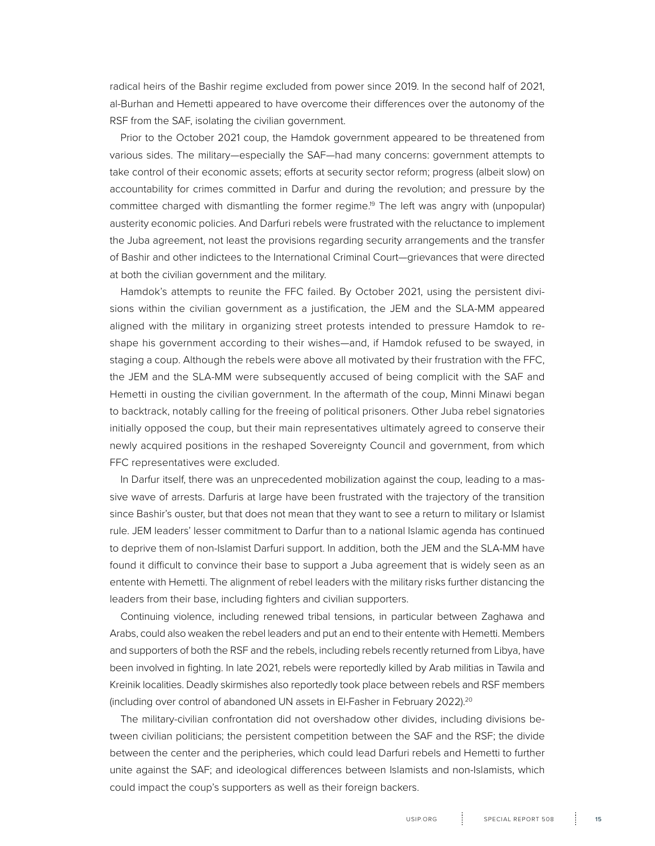radical heirs of the Bashir regime excluded from power since 2019. In the second half of 2021, al-Burhan and Hemetti appeared to have overcome their differences over the autonomy of the RSF from the SAF, isolating the civilian government.

Prior to the October 2021 coup, the Hamdok government appeared to be threatened from various sides. The military—especially the SAF—had many concerns: government attempts to take control of their economic assets; efforts at security sector reform; progress (albeit slow) on accountability for crimes committed in Darfur and during the revolution; and pressure by the committee charged with dismantling the former regime.19 The left was angry with (unpopular) austerity economic policies. And Darfuri rebels were frustrated with the reluctance to implement the Juba agreement, not least the provisions regarding security arrangements and the transfer of Bashir and other indictees to the International Criminal Court—grievances that were directed at both the civilian government and the military.

Hamdok's attempts to reunite the FFC failed. By October 2021, using the persistent divisions within the civilian government as a justification, the JEM and the SLA-MM appeared aligned with the military in organizing street protests intended to pressure Hamdok to reshape his government according to their wishes—and, if Hamdok refused to be swayed, in staging a coup. Although the rebels were above all motivated by their frustration with the FFC, the JEM and the SLA-MM were subsequently accused of being complicit with the SAF and Hemetti in ousting the civilian government. In the aftermath of the coup, Minni Minawi began to backtrack, notably calling for the freeing of political prisoners. Other Juba rebel signatories initially opposed the coup, but their main representatives ultimately agreed to conserve their newly acquired positions in the reshaped Sovereignty Council and government, from which FFC representatives were excluded.

In Darfur itself, there was an unprecedented mobilization against the coup, leading to a massive wave of arrests. Darfuris at large have been frustrated with the trajectory of the transition since Bashir's ouster, but that does not mean that they want to see a return to military or Islamist rule. JEM leaders' lesser commitment to Darfur than to a national Islamic agenda has continued to deprive them of non-Islamist Darfuri support. In addition, both the JEM and the SLA-MM have found it difficult to convince their base to support a Juba agreement that is widely seen as an entente with Hemetti. The alignment of rebel leaders with the military risks further distancing the leaders from their base, including fighters and civilian supporters.

Continuing violence, including renewed tribal tensions, in particular between Zaghawa and Arabs, could also weaken the rebel leaders and put an end to their entente with Hemetti. Members and supporters of both the RSF and the rebels, including rebels recently returned from Libya, have been involved in fighting. In late 2021, rebels were reportedly killed by Arab militias in Tawila and Kreinik localities. Deadly skirmishes also reportedly took place between rebels and RSF members (including over control of abandoned UN assets in El-Fasher in February 2022).20

The military-civilian confrontation did not overshadow other divides, including divisions between civilian politicians; the persistent competition between the SAF and the RSF; the divide between the center and the peripheries, which could lead Darfuri rebels and Hemetti to further unite against the SAF; and ideological differences between Islamists and non-Islamists, which could impact the coup's supporters as well as their foreign backers.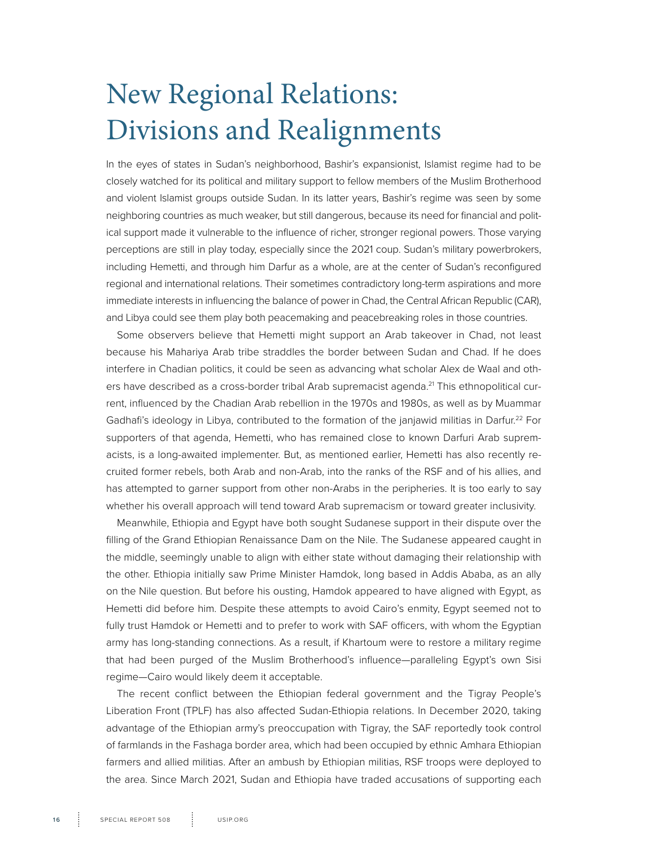## <span id="page-15-0"></span>New Regional Relations: Divisions and Realignments

In the eyes of states in Sudan's neighborhood, Bashir's expansionist, Islamist regime had to be closely watched for its political and military support to fellow members of the Muslim Brotherhood and violent Islamist groups outside Sudan. In its latter years, Bashir's regime was seen by some neighboring countries as much weaker, but still dangerous, because its need for financial and political support made it vulnerable to the influence of richer, stronger regional powers. Those varying perceptions are still in play today, especially since the 2021 coup. Sudan's military powerbrokers, including Hemetti, and through him Darfur as a whole, are at the center of Sudan's reconfigured regional and international relations. Their sometimes contradictory long-term aspirations and more immediate interests in influencing the balance of power in Chad, the Central African Republic (CAR), and Libya could see them play both peacemaking and peacebreaking roles in those countries.

Some observers believe that Hemetti might support an Arab takeover in Chad, not least because his Mahariya Arab tribe straddles the border between Sudan and Chad. If he does interfere in Chadian politics, it could be seen as advancing what scholar Alex de Waal and others have described as a cross-border tribal Arab supremacist agenda.<sup>21</sup> This ethnopolitical current, influenced by the Chadian Arab rebellion in the 1970s and 1980s, as well as by Muammar Gadhafi's ideology in Libya, contributed to the formation of the janjawid militias in Darfur.22 For supporters of that agenda, Hemetti, who has remained close to known Darfuri Arab supremacists, is a long-awaited implementer. But, as mentioned earlier, Hemetti has also recently recruited former rebels, both Arab and non-Arab, into the ranks of the RSF and of his allies, and has attempted to garner support from other non-Arabs in the peripheries. It is too early to say whether his overall approach will tend toward Arab supremacism or toward greater inclusivity.

Meanwhile, Ethiopia and Egypt have both sought Sudanese support in their dispute over the filling of the Grand Ethiopian Renaissance Dam on the Nile. The Sudanese appeared caught in the middle, seemingly unable to align with either state without damaging their relationship with the other. Ethiopia initially saw Prime Minister Hamdok, long based in Addis Ababa, as an ally on the Nile question. But before his ousting, Hamdok appeared to have aligned with Egypt, as Hemetti did before him. Despite these attempts to avoid Cairo's enmity, Egypt seemed not to fully trust Hamdok or Hemetti and to prefer to work with SAF officers, with whom the Egyptian army has long-standing connections. As a result, if Khartoum were to restore a military regime that had been purged of the Muslim Brotherhood's influence—paralleling Egypt's own Sisi regime—Cairo would likely deem it acceptable.

The recent conflict between the Ethiopian federal government and the Tigray People's Liberation Front (TPLF) has also affected Sudan-Ethiopia relations. In December 2020, taking advantage of the Ethiopian army's preoccupation with Tigray, the SAF reportedly took control of farmlands in the Fashaga border area, which had been occupied by ethnic Amhara Ethiopian farmers and allied militias. After an ambush by Ethiopian militias, RSF troops were deployed to the area. Since March 2021, Sudan and Ethiopia have traded accusations of supporting each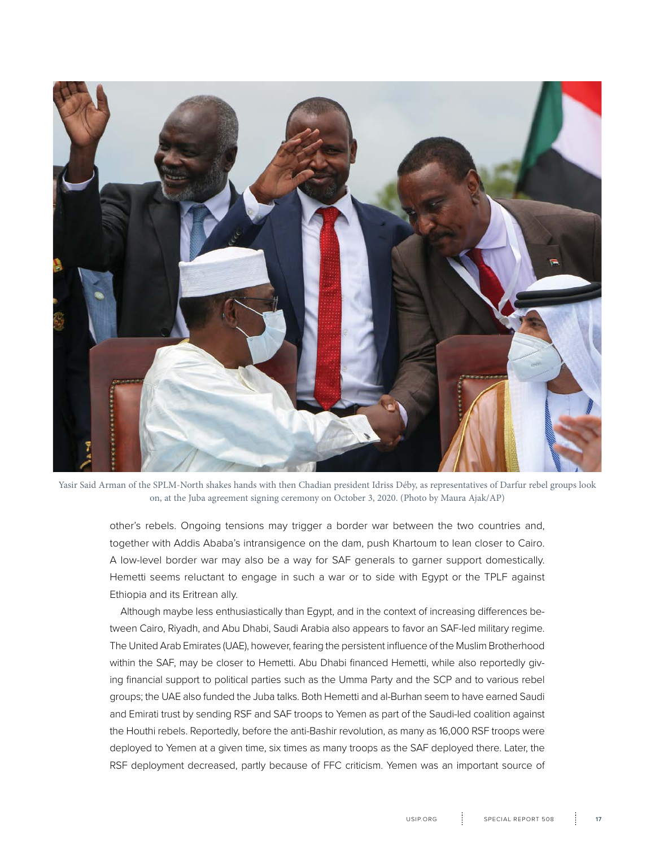

Yasir Said Arman of the SPLM-North shakes hands with then Chadian president Idriss Déby, as representatives of Darfur rebel groups look on, at the Juba agreement signing ceremony on October 3, 2020. (Photo by Maura Ajak/AP)

other's rebels. Ongoing tensions may trigger a border war between the two countries and, together with Addis Ababa's intransigence on the dam, push Khartoum to lean closer to Cairo. A low-level border war may also be a way for SAF generals to garner support domestically. Hemetti seems reluctant to engage in such a war or to side with Egypt or the TPLF against Ethiopia and its Eritrean ally.

Although maybe less enthusiastically than Egypt, and in the context of increasing differences between Cairo, Riyadh, and Abu Dhabi, Saudi Arabia also appears to favor an SAF-led military regime. The United Arab Emirates (UAE), however, fearing the persistent influence of the Muslim Brotherhood within the SAF, may be closer to Hemetti. Abu Dhabi financed Hemetti, while also reportedly giving financial support to political parties such as the Umma Party and the SCP and to various rebel groups; the UAE also funded the Juba talks. Both Hemetti and al-Burhan seem to have earned Saudi and Emirati trust by sending RSF and SAF troops to Yemen as part of the Saudi-led coalition against the Houthi rebels. Reportedly, before the anti-Bashir revolution, as many as 16,000 RSF troops were deployed to Yemen at a given time, six times as many troops as the SAF deployed there. Later, the RSF deployment decreased, partly because of FFC criticism. Yemen was an important source of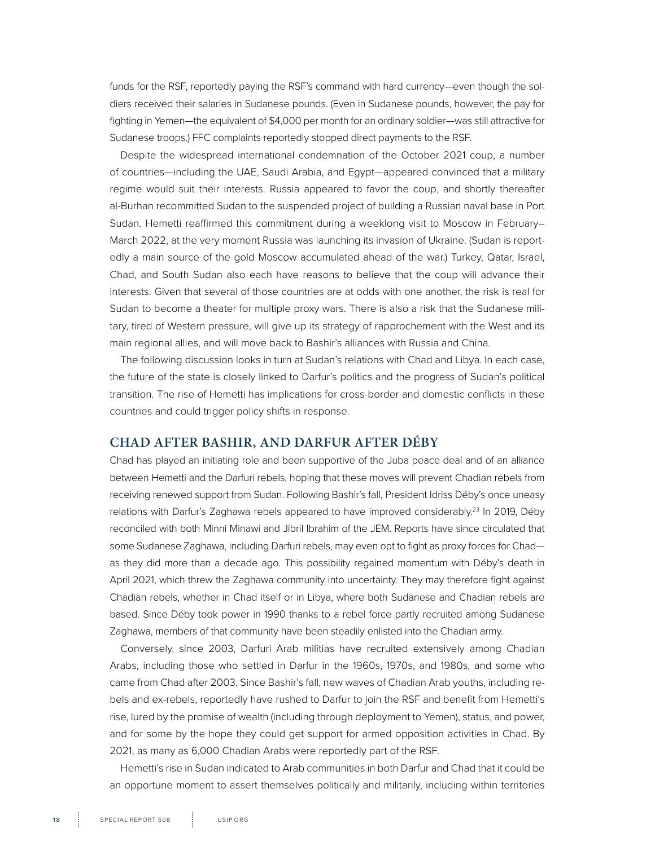funds for the RSF, reportedly paying the RSF's command with hard currency—even though the soldiers received their salaries in Sudanese pounds. (Even in Sudanese pounds, however, the pay for fighting in Yemen—the equivalent of \$4,000 per month for an ordinary soldier—was still attractive for Sudanese troops.) FFC complaints reportedly stopped direct payments to the RSF.

Despite the widespread international condemnation of the October 2021 coup, a number of countries—including the UAE, Saudi Arabia, and Egypt—appeared convinced that a military regime would suit their interests. Russia appeared to favor the coup, and shortly thereafter al-Burhan recommitted Sudan to the suspended project of building a Russian naval base in Port Sudan. Hemetti reaffirmed this commitment during a weeklong visit to Moscow in February– March 2022, at the very moment Russia was launching its invasion of Ukraine. (Sudan is reportedly a main source of the gold Moscow accumulated ahead of the war.) Turkey, Qatar, Israel, Chad, and South Sudan also each have reasons to believe that the coup will advance their interests. Given that several of those countries are at odds with one another, the risk is real for Sudan to become a theater for multiple proxy wars. There is also a risk that the Sudanese military, tired of Western pressure, will give up its strategy of rapprochement with the West and its main regional allies, and will move back to Bashir's alliances with Russia and China.

The following discussion looks in turn at Sudan's relations with Chad and Libya. In each case, the future of the state is closely linked to Darfur's politics and the progress of Sudan's political transition. The rise of Hemetti has implications for cross-border and domestic conflicts in these countries and could trigger policy shifts in response.

#### **CHAD AFTER BASHIR, AND DARFUR AFTER DÉBY**

Chad has played an initiating role and been supportive of the Juba peace deal and of an alliance between Hemetti and the Darfuri rebels, hoping that these moves will prevent Chadian rebels from receiving renewed support from Sudan. Following Bashir's fall, President Idriss Déby's once uneasy relations with Darfur's Zaghawa rebels appeared to have improved considerably.<sup>23</sup> In 2019, Déby reconciled with both Minni Minawi and Jibril Ibrahim of the JEM. Reports have since circulated that some Sudanese Zaghawa, including Darfuri rebels, may even opt to fight as proxy forces for Chadas they did more than a decade ago. This possibility regained momentum with Déby's death in April 2021, which threw the Zaghawa community into uncertainty. They may therefore fight against Chadian rebels, whether in Chad itself or in Libya, where both Sudanese and Chadian rebels are based. Since Déby took power in 1990 thanks to a rebel force partly recruited among Sudanese Zaghawa, members of that community have been steadily enlisted into the Chadian army.

Conversely, since 2003, Darfuri Arab militias have recruited extensively among Chadian Arabs, including those who settled in Darfur in the 1960s, 1970s, and 1980s, and some who came from Chad after 2003. Since Bashir's fall, new waves of Chadian Arab youths, including rebels and ex-rebels, reportedly have rushed to Darfur to join the RSF and benefit from Hemetti's rise, lured by the promise of wealth (including through deployment to Yemen), status, and power, and for some by the hope they could get support for armed opposition activities in Chad. By 2021, as many as 6,000 Chadian Arabs were reportedly part of the RSF.

Hemetti's rise in Sudan indicated to Arab communities in both Darfur and Chad that it could be an opportune moment to assert themselves politically and militarily, including within territories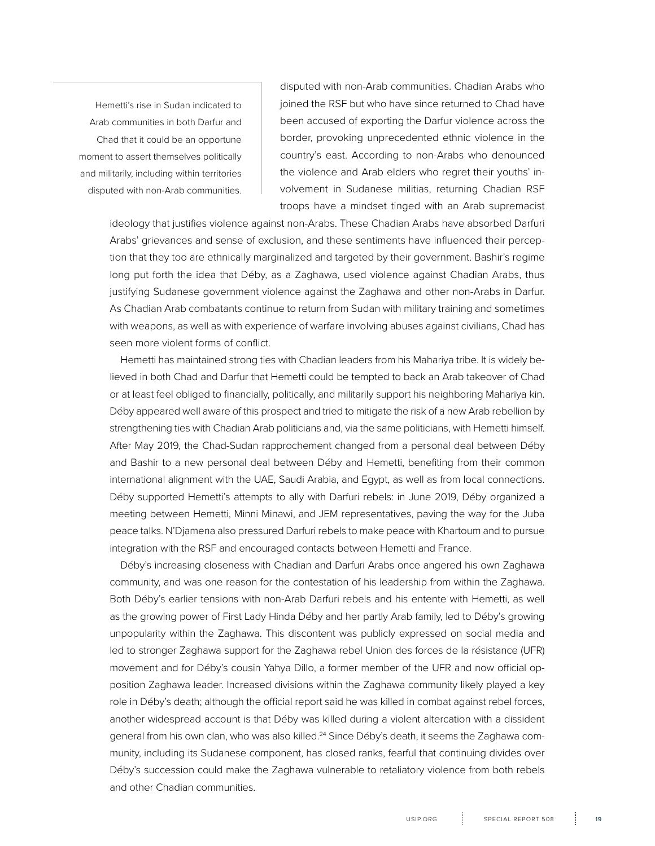Hemetti's rise in Sudan indicated to Arab communities in both Darfur and Chad that it could be an opportune moment to assert themselves politically and militarily, including within territories disputed with non-Arab communities.

disputed with non-Arab communities. Chadian Arabs who joined the RSF but who have since returned to Chad have been accused of exporting the Darfur violence across the border, provoking unprecedented ethnic violence in the country's east. According to non-Arabs who denounced the violence and Arab elders who regret their youths' involvement in Sudanese militias, returning Chadian RSF troops have a mindset tinged with an Arab supremacist

ideology that justifies violence against non-Arabs. These Chadian Arabs have absorbed Darfuri Arabs' grievances and sense of exclusion, and these sentiments have influenced their perception that they too are ethnically marginalized and targeted by their government. Bashir's regime long put forth the idea that Déby, as a Zaghawa, used violence against Chadian Arabs, thus justifying Sudanese government violence against the Zaghawa and other non-Arabs in Darfur. As Chadian Arab combatants continue to return from Sudan with military training and sometimes with weapons, as well as with experience of warfare involving abuses against civilians, Chad has seen more violent forms of conflict.

Hemetti has maintained strong ties with Chadian leaders from his Mahariya tribe. It is widely believed in both Chad and Darfur that Hemetti could be tempted to back an Arab takeover of Chad or at least feel obliged to financially, politically, and militarily support his neighboring Mahariya kin. Déby appeared well aware of this prospect and tried to mitigate the risk of a new Arab rebellion by strengthening ties with Chadian Arab politicians and, via the same politicians, with Hemetti himself. After May 2019, the Chad-Sudan rapprochement changed from a personal deal between Déby and Bashir to a new personal deal between Déby and Hemetti, benefiting from their common international alignment with the UAE, Saudi Arabia, and Egypt, as well as from local connections. Déby supported Hemetti's attempts to ally with Darfuri rebels: in June 2019, Déby organized a meeting between Hemetti, Minni Minawi, and JEM representatives, paving the way for the Juba peace talks. N'Djamena also pressured Darfuri rebels to make peace with Khartoum and to pursue integration with the RSF and encouraged contacts between Hemetti and France.

Déby's increasing closeness with Chadian and Darfuri Arabs once angered his own Zaghawa community, and was one reason for the contestation of his leadership from within the Zaghawa. Both Déby's earlier tensions with non-Arab Darfuri rebels and his entente with Hemetti, as well as the growing power of First Lady Hinda Déby and her partly Arab family, led to Déby's growing unpopularity within the Zaghawa. This discontent was publicly expressed on social media and led to stronger Zaghawa support for the Zaghawa rebel Union des forces de la résistance (UFR) movement and for Déby's cousin Yahya Dillo, a former member of the UFR and now official opposition Zaghawa leader. Increased divisions within the Zaghawa community likely played a key role in Déby's death; although the official report said he was killed in combat against rebel forces, another widespread account is that Déby was killed during a violent altercation with a dissident general from his own clan, who was also killed.24 Since Déby's death, it seems the Zaghawa community, including its Sudanese component, has closed ranks, fearful that continuing divides over Déby's succession could make the Zaghawa vulnerable to retaliatory violence from both rebels and other Chadian communities.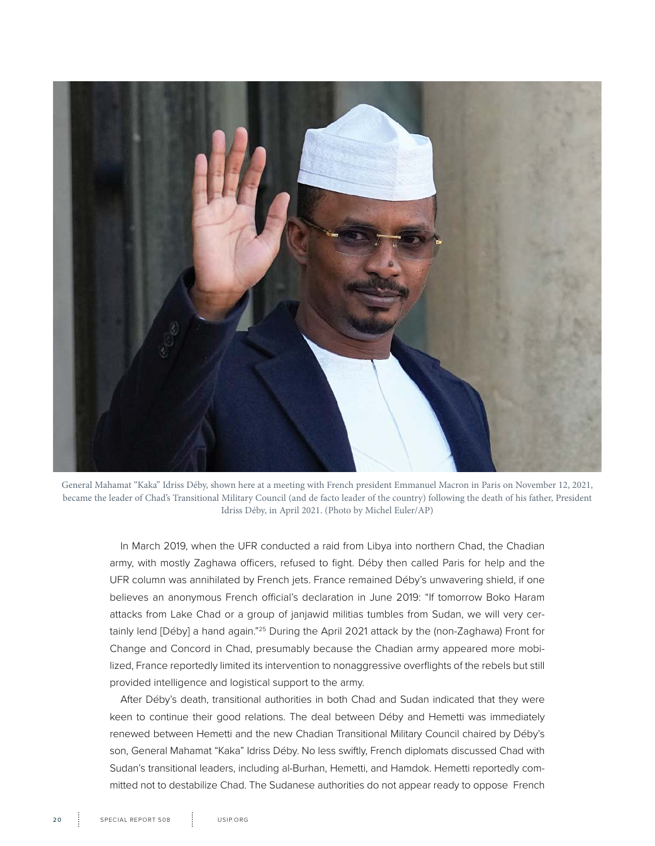

General Mahamat "Kaka" Idriss Déby, shown here at a meeting with French president Emmanuel Macron in Paris on November 12, 2021, became the leader of Chad's Transitional Military Council (and de facto leader of the country) following the death of his father, President Idriss Déby, in April 2021. (Photo by Michel Euler/AP)

In March 2019, when the UFR conducted a raid from Libya into northern Chad, the Chadian army, with mostly Zaghawa officers, refused to fight. Déby then called Paris for help and the UFR column was annihilated by French jets. France remained Déby's unwavering shield, if one believes an anonymous French official's declaration in June 2019: "If tomorrow Boko Haram attacks from Lake Chad or a group of janjawid militias tumbles from Sudan, we will very certainly lend [Déby] a hand again."<sup>25</sup> During the April 2021 attack by the (non-Zaghawa) Front for Change and Concord in Chad, presumably because the Chadian army appeared more mobilized, France reportedly limited its intervention to nonaggressive overflights of the rebels but still provided intelligence and logistical support to the army.

After Déby's death, transitional authorities in both Chad and Sudan indicated that they were keen to continue their good relations. The deal between Déby and Hemetti was immediately renewed between Hemetti and the new Chadian Transitional Military Council chaired by Déby's son, General Mahamat "Kaka" Idriss Déby. No less swiftly, French diplomats discussed Chad with Sudan's transitional leaders, including al-Burhan, Hemetti, and Hamdok. Hemetti reportedly committed not to destabilize Chad. The Sudanese authorities do not appear ready to oppose French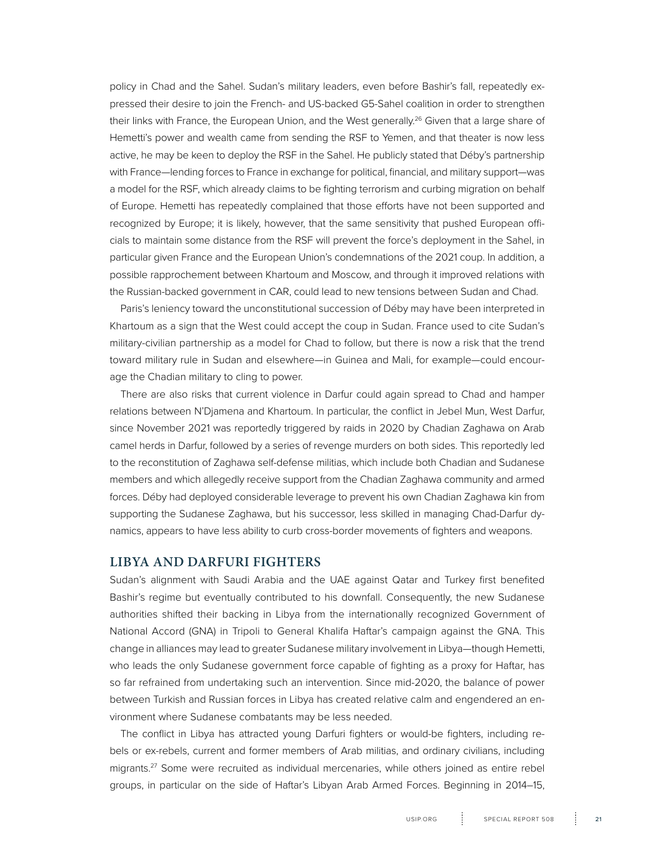policy in Chad and the Sahel. Sudan's military leaders, even before Bashir's fall, repeatedly expressed their desire to join the French- and US-backed G5-Sahel coalition in order to strengthen their links with France, the European Union, and the West generally.<sup>26</sup> Given that a large share of Hemetti's power and wealth came from sending the RSF to Yemen, and that theater is now less active, he may be keen to deploy the RSF in the Sahel. He publicly stated that Déby's partnership with France—lending forces to France in exchange for political, financial, and military support—was a model for the RSF, which already claims to be fighting terrorism and curbing migration on behalf of Europe. Hemetti has repeatedly complained that those efforts have not been supported and recognized by Europe; it is likely, however, that the same sensitivity that pushed European officials to maintain some distance from the RSF will prevent the force's deployment in the Sahel, in particular given France and the European Union's condemnations of the 2021 coup. In addition, a possible rapprochement between Khartoum and Moscow, and through it improved relations with the Russian-backed government in CAR, could lead to new tensions between Sudan and Chad.

Paris's leniency toward the unconstitutional succession of Déby may have been interpreted in Khartoum as a sign that the West could accept the coup in Sudan. France used to cite Sudan's military-civilian partnership as a model for Chad to follow, but there is now a risk that the trend toward military rule in Sudan and elsewhere—in Guinea and Mali, for example—could encourage the Chadian military to cling to power.

There are also risks that current violence in Darfur could again spread to Chad and hamper relations between N'Djamena and Khartoum. In particular, the conflict in Jebel Mun, West Darfur, since November 2021 was reportedly triggered by raids in 2020 by Chadian Zaghawa on Arab camel herds in Darfur, followed by a series of revenge murders on both sides. This reportedly led to the reconstitution of Zaghawa self-defense militias, which include both Chadian and Sudanese members and which allegedly receive support from the Chadian Zaghawa community and armed forces. Déby had deployed considerable leverage to prevent his own Chadian Zaghawa kin from supporting the Sudanese Zaghawa, but his successor, less skilled in managing Chad-Darfur dynamics, appears to have less ability to curb cross-border movements of fighters and weapons.

#### **LIBYA AND DARFURI FIGHTERS**

Sudan's alignment with Saudi Arabia and the UAE against Qatar and Turkey first benefited Bashir's regime but eventually contributed to his downfall. Consequently, the new Sudanese authorities shifted their backing in Libya from the internationally recognized Government of National Accord (GNA) in Tripoli to General Khalifa Haftar's campaign against the GNA. This change in alliances may lead to greater Sudanese military involvement in Libya—though Hemetti, who leads the only Sudanese government force capable of fighting as a proxy for Haftar, has so far refrained from undertaking such an intervention. Since mid-2020, the balance of power between Turkish and Russian forces in Libya has created relative calm and engendered an environment where Sudanese combatants may be less needed.

The conflict in Libya has attracted young Darfuri fighters or would-be fighters, including rebels or ex-rebels, current and former members of Arab militias, and ordinary civilians, including migrants.27 Some were recruited as individual mercenaries, while others joined as entire rebel groups, in particular on the side of Haftar's Libyan Arab Armed Forces. Beginning in 2014–15,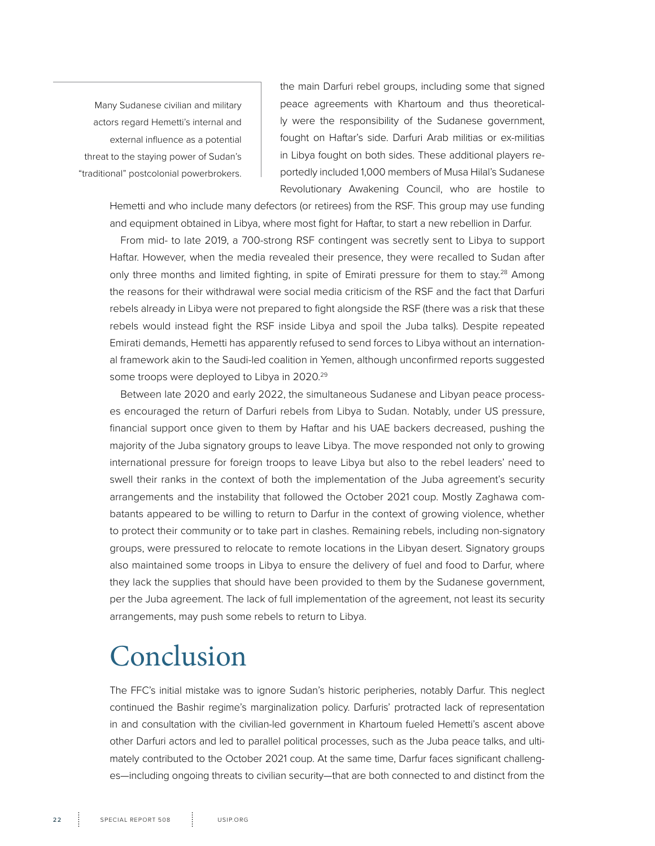<span id="page-21-0"></span>Many Sudanese civilian and military actors regard Hemetti's internal and external influence as a potential threat to the staying power of Sudan's "traditional" postcolonial powerbrokers.

the main Darfuri rebel groups, including some that signed peace agreements with Khartoum and thus theoretically were the responsibility of the Sudanese government, fought on Haftar's side. Darfuri Arab militias or ex-militias in Libya fought on both sides. These additional players reportedly included 1,000 members of Musa Hilal's Sudanese Revolutionary Awakening Council, who are hostile to

Hemetti and who include many defectors (or retirees) from the RSF. This group may use funding and equipment obtained in Libya, where most fight for Haftar, to start a new rebellion in Darfur.

From mid- to late 2019, a 700-strong RSF contingent was secretly sent to Libya to support Haftar. However, when the media revealed their presence, they were recalled to Sudan after only three months and limited fighting, in spite of Emirati pressure for them to stay.<sup>28</sup> Among the reasons for their withdrawal were social media criticism of the RSF and the fact that Darfuri rebels already in Libya were not prepared to fight alongside the RSF (there was a risk that these rebels would instead fight the RSF inside Libya and spoil the Juba talks). Despite repeated Emirati demands, Hemetti has apparently refused to send forces to Libya without an international framework akin to the Saudi-led coalition in Yemen, although unconfirmed reports suggested some troops were deployed to Libya in 2020.<sup>29</sup>

Between late 2020 and early 2022, the simultaneous Sudanese and Libyan peace processes encouraged the return of Darfuri rebels from Libya to Sudan. Notably, under US pressure, financial support once given to them by Haftar and his UAE backers decreased, pushing the majority of the Juba signatory groups to leave Libya. The move responded not only to growing international pressure for foreign troops to leave Libya but also to the rebel leaders' need to swell their ranks in the context of both the implementation of the Juba agreement's security arrangements and the instability that followed the October 2021 coup. Mostly Zaghawa combatants appeared to be willing to return to Darfur in the context of growing violence, whether to protect their community or to take part in clashes. Remaining rebels, including non-signatory groups, were pressured to relocate to remote locations in the Libyan desert. Signatory groups also maintained some troops in Libya to ensure the delivery of fuel and food to Darfur, where they lack the supplies that should have been provided to them by the Sudanese government, per the Juba agreement. The lack of full implementation of the agreement, not least its security arrangements, may push some rebels to return to Libya.

### Conclusion

The FFC's initial mistake was to ignore Sudan's historic peripheries, notably Darfur. This neglect continued the Bashir regime's marginalization policy. Darfuris' protracted lack of representation in and consultation with the civilian-led government in Khartoum fueled Hemetti's ascent above other Darfuri actors and led to parallel political processes, such as the Juba peace talks, and ultimately contributed to the October 2021 coup. At the same time, Darfur faces significant challenges—including ongoing threats to civilian security—that are both connected to and distinct from the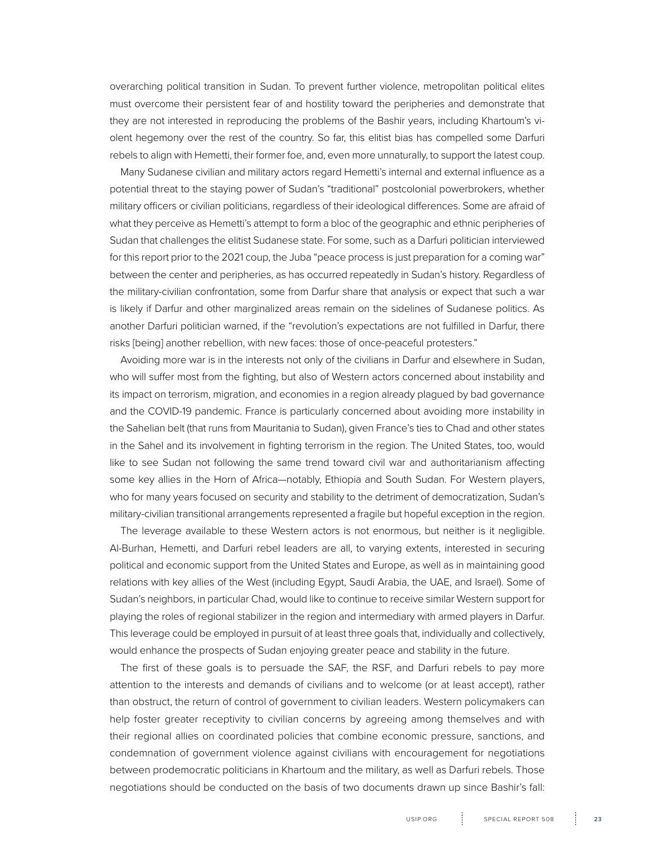overarching political transition in Sudan. To prevent further violence, metropolitan political elites must overcome their persistent fear of and hostility toward the peripheries and demonstrate that they are not interested in reproducing the problems of the Bashir years, including Khartoum's violent hegemony over the rest of the country. So far, this elitist bias has compelled some Darfuri rebels to align with Hemetti, their former foe, and, even more unnaturally, to support the latest coup.

Many Sudanese civilian and military actors regard Hemetti's internal and external influence as a potential threat to the staying power of Sudan's "traditional" postcolonial powerbrokers, whether military officers or civilian politicians, regardless of their ideological differences. Some are afraid of what they perceive as Hemetti's attempt to form a bloc of the geographic and ethnic peripheries of Sudan that challenges the elitist Sudanese state. For some, such as a Darfuri politician interviewed for this report prior to the 2021 coup, the Juba "peace process is just preparation for a coming war" between the center and peripheries, as has occurred repeatedly in Sudan's history. Regardless of the military-civilian confrontation, some from Darfur share that analysis or expect that such a war is likely if Darfur and other marginalized areas remain on the sidelines of Sudanese politics. As another Darfuri politician warned, if the "revolution's expectations are not fulfilled in Darfur, there risks [being] another rebellion, with new faces: those of once-peaceful protesters."

Avoiding more war is in the interests not only of the civilians in Darfur and elsewhere in Sudan, who will suffer most from the fighting, but also of Western actors concerned about instability and its impact on terrorism, migration, and economies in a region already plagued by bad governance and the COVID-19 pandemic. France is particularly concerned about avoiding more instability in the Sahelian belt (that runs from Mauritania to Sudan), given France's ties to Chad and other states in the Sahel and its involvement in fighting terrorism in the region. The United States, too, would like to see Sudan not following the same trend toward civil war and authoritarianism affecting some key allies in the Horn of Africa—notably, Ethiopia and South Sudan. For Western players, who for many years focused on security and stability to the detriment of democratization, Sudan's military-civilian transitional arrangements represented a fragile but hopeful exception in the region.

The leverage available to these Western actors is not enormous, but neither is it negligible. Al-Burhan, Hemetti, and Darfuri rebel leaders are all, to varying extents, interested in securing political and economic support from the United States and Europe, as well as in maintaining good relations with key allies of the West (including Egypt, Saudi Arabia, the UAE, and Israel). Some of Sudan's neighbors, in particular Chad, would like to continue to receive similar Western support for playing the roles of regional stabilizer in the region and intermediary with armed players in Darfur. This leverage could be employed in pursuit of at least three goals that, individually and collectively, would enhance the prospects of Sudan enjoying greater peace and stability in the future.

The first of these goals is to persuade the SAF, the RSF, and Darfuri rebels to pay more attention to the interests and demands of civilians and to welcome (or at least accept), rather than obstruct, the return of control of government to civilian leaders. Western policymakers can help foster greater receptivity to civilian concerns by agreeing among themselves and with their regional allies on coordinated policies that combine economic pressure, sanctions, and condemnation of government violence against civilians with encouragement for negotiations between prodemocratic politicians in Khartoum and the military, as well as Darfuri rebels. Those negotiations should be conducted on the basis of two documents drawn up since Bashir's fall: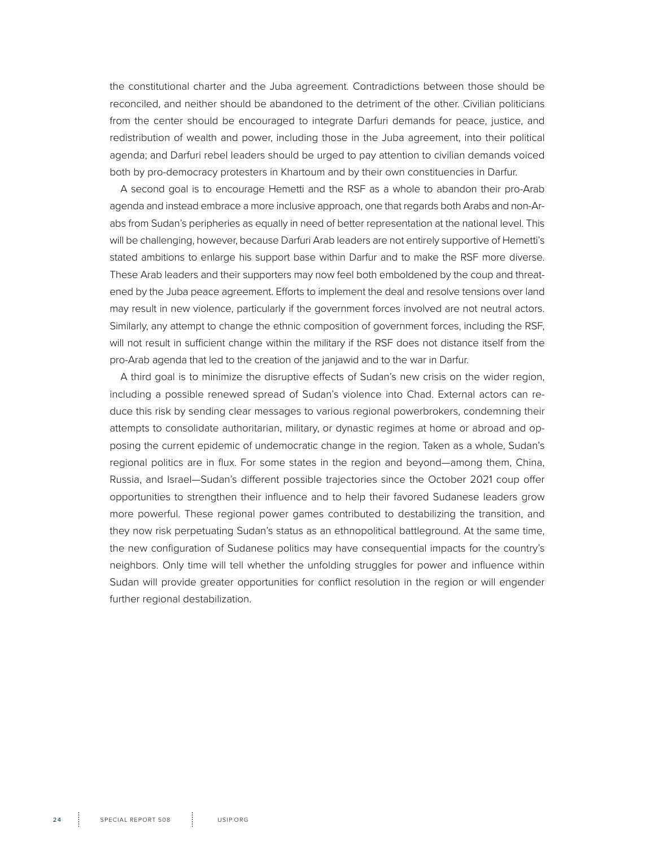the constitutional charter and the Juba agreement. Contradictions between those should be reconciled, and neither should be abandoned to the detriment of the other. Civilian politicians from the center should be encouraged to integrate Darfuri demands for peace, justice, and redistribution of wealth and power, including those in the Juba agreement, into their political agenda; and Darfuri rebel leaders should be urged to pay attention to civilian demands voiced both by pro-democracy protesters in Khartoum and by their own constituencies in Darfur.

A second goal is to encourage Hemetti and the RSF as a whole to abandon their pro-Arab agenda and instead embrace a more inclusive approach, one that regards both Arabs and non-Arabs from Sudan's peripheries as equally in need of better representation at the national level. This will be challenging, however, because Darfuri Arab leaders are not entirely supportive of Hemetti's stated ambitions to enlarge his support base within Darfur and to make the RSF more diverse. These Arab leaders and their supporters may now feel both emboldened by the coup and threatened by the Juba peace agreement. Efforts to implement the deal and resolve tensions over land may result in new violence, particularly if the government forces involved are not neutral actors. Similarly, any attempt to change the ethnic composition of government forces, including the RSF, will not result in sufficient change within the military if the RSF does not distance itself from the pro-Arab agenda that led to the creation of the janjawid and to the war in Darfur.

A third goal is to minimize the disruptive effects of Sudan's new crisis on the wider region, including a possible renewed spread of Sudan's violence into Chad. External actors can reduce this risk by sending clear messages to various regional powerbrokers, condemning their attempts to consolidate authoritarian, military, or dynastic regimes at home or abroad and opposing the current epidemic of undemocratic change in the region. Taken as a whole, Sudan's regional politics are in flux. For some states in the region and beyond—among them, China, Russia, and Israel—Sudan's different possible trajectories since the October 2021 coup offer opportunities to strengthen their influence and to help their favored Sudanese leaders grow more powerful. These regional power games contributed to destabilizing the transition, and they now risk perpetuating Sudan's status as an ethnopolitical battleground. At the same time, the new configuration of Sudanese politics may have consequential impacts for the country's neighbors. Only time will tell whether the unfolding struggles for power and influence within Sudan will provide greater opportunities for conflict resolution in the region or will engender further regional destabilization.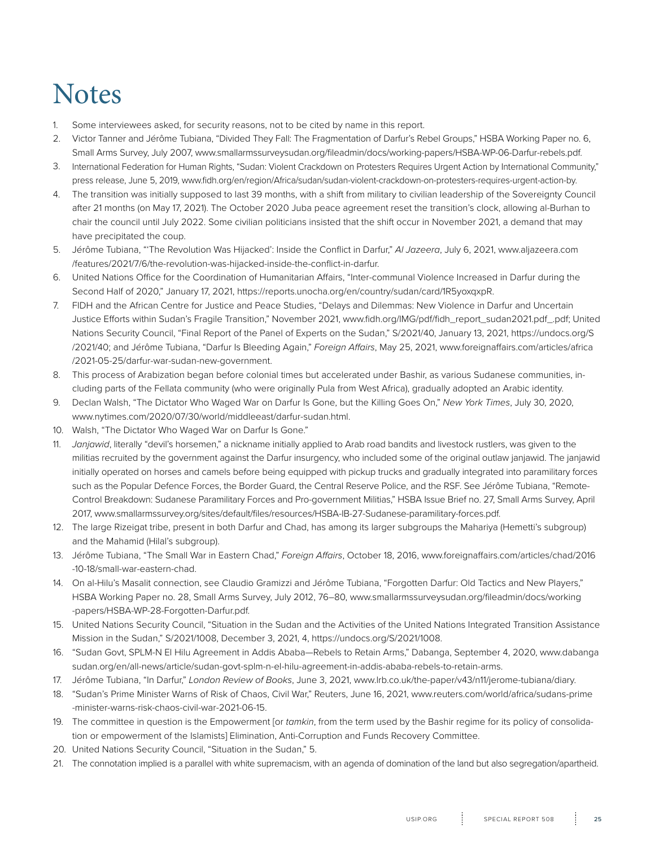### **Notes**

- 1. Some interviewees asked, for security reasons, not to be cited by name in this report.
- 2. Victor Tanner and Jérôme Tubiana, "Divided They Fall: The Fragmentation of Darfur's Rebel Groups," HSBA Working Paper no. 6, Small Arms Survey, July 2007, www.smallarmssurveysudan.org/fileadmin/docs/working-papers/HSBA-WP-06-Darfur-rebels.pdf.
- 3. International Federation for Human Rights, "Sudan: Violent Crackdown on Protesters Requires Urgent Action by International Community," press release, June 5, 2019, www.fidh.org/en/region/Africa/sudan/sudan-violent-crackdown-on-protesters-requires-urgent-action-by.
- 4. The transition was initially supposed to last 39 months, with a shift from military to civilian leadership of the Sovereignty Council after 21 months (on May 17, 2021). The October 2020 Juba peace agreement reset the transition's clock, allowing al-Burhan to chair the council until July 2022. Some civilian politicians insisted that the shift occur in November 2021, a demand that may have precipitated the coup.
- 5. Jérôme Tubiana, "'The Revolution Was Hijacked': Inside the Conflict in Darfur," *Al Jazeera*, July 6, 2021, www.aljazeera.com /features/2021/7/6/the-revolution-was-hijacked-inside-the-conflict-in-darfur.
- 6. United Nations Office for the Coordination of Humanitarian Affairs, "Inter-communal Violence Increased in Darfur during the Second Half of 2020," January 17, 2021, https://reports.unocha.org/en/country/sudan/card/1R5yoxqxpR.
- 7. FIDH and the African Centre for Justice and Peace Studies, "Delays and Dilemmas: New Violence in Darfur and Uncertain Justice Efforts within Sudan's Fragile Transition," November 2021, www.fidh.org/IMG/pdf/fidh\_report\_sudan2021.pdf\_.pdf; United Nations Security Council, "Final Report of the Panel of Experts on the Sudan," S/2021/40, January 13, 2021, https://undocs.org/S /2021/40; and Jérôme Tubiana, "Darfur Is Bleeding Again," *Foreign Affairs*, May 25, 2021, www.foreignaffairs.com/articles/africa /2021-05-25/darfur-war-sudan-new-government.
- 8. This process of Arabization began before colonial times but accelerated under Bashir, as various Sudanese communities, including parts of the Fellata community (who were originally Pula from West Africa), gradually adopted an Arabic identity.
- 9. Declan Walsh, "The Dictator Who Waged War on Darfur Is Gone, but the Killing Goes On," *New York Times*, July 30, 2020, www.nytimes.com/2020/07/30/world/middleeast/darfur-sudan.html.
- 10. Walsh, "The Dictator Who Waged War on Darfur Is Gone."
- 11. *Janjawid*, literally "devil's horsemen," a nickname initially applied to Arab road bandits and livestock rustlers, was given to the militias recruited by the government against the Darfur insurgency, who included some of the original outlaw janjawid. The janjawid initially operated on horses and camels before being equipped with pickup trucks and gradually integrated into paramilitary forces such as the Popular Defence Forces, the Border Guard, the Central Reserve Police, and the RSF. See Jérôme Tubiana, "Remote-Control Breakdown: Sudanese Paramilitary Forces and Pro-government Militias," HSBA Issue Brief no. 27, Small Arms Survey, April 2017, www.smallarmssurvey.org/sites/default/files/resources/HSBA-IB-27-Sudanese-paramilitary-forces.pdf.
- 12. The large Rizeigat tribe, present in both Darfur and Chad, has among its larger subgroups the Mahariya (Hemetti's subgroup) and the Mahamid (Hilal's subgroup).
- 13. Jérôme Tubiana, "The Small War in Eastern Chad," *Foreign Affairs*, October 18, 2016, www.foreignaffairs.com/articles/chad/2016 -10-18/small-war-eastern-chad.
- 14. On al-Hilu's Masalit connection, see Claudio Gramizzi and Jérôme Tubiana, "Forgotten Darfur: Old Tactics and New Players," HSBA Working Paper no. 28, Small Arms Survey, July 2012, 76–80, www.smallarmssurveysudan.org/fileadmin/docs/working -papers/HSBA-WP-28-Forgotten-Darfur.pdf.
- 15. United Nations Security Council, "Situation in the Sudan and the Activities of the United Nations Integrated Transition Assistance Mission in the Sudan," S/2021/1008, December 3, 2021, 4, https://undocs.org/S/2021/1008.
- 16. "Sudan Govt, SPLM-N El Hilu Agreement in Addis Ababa—Rebels to Retain Arms," Dabanga, September 4, 2020, www.dabanga sudan.org/en/all-news/article/sudan-govt-splm-n-el-hilu-agreement-in-addis-ababa-rebels-to-retain-arms.
- 17. Jérôme Tubiana, "In Darfur," *London Review of Books*, June 3, 2021, www.lrb.co.uk/the-paper/v43/n11/jerome-tubiana/diary.
- 18. "Sudan's Prime Minister Warns of Risk of Chaos, Civil War," Reuters, June 16, 2021, www.reuters.com/world/africa/sudans-prime -minister-warns-risk-chaos-civil-war-2021-06-15.
- 19. The committee in question is the Empowerment [or *tamkin*, from the term used by the Bashir regime for its policy of consolidation or empowerment of the Islamists] Elimination, Anti-Corruption and Funds Recovery Committee.
- 20. United Nations Security Council, "Situation in the Sudan," 5.
- 21. The connotation implied is a parallel with white supremacism, with an agenda of domination of the land but also segregation/apartheid.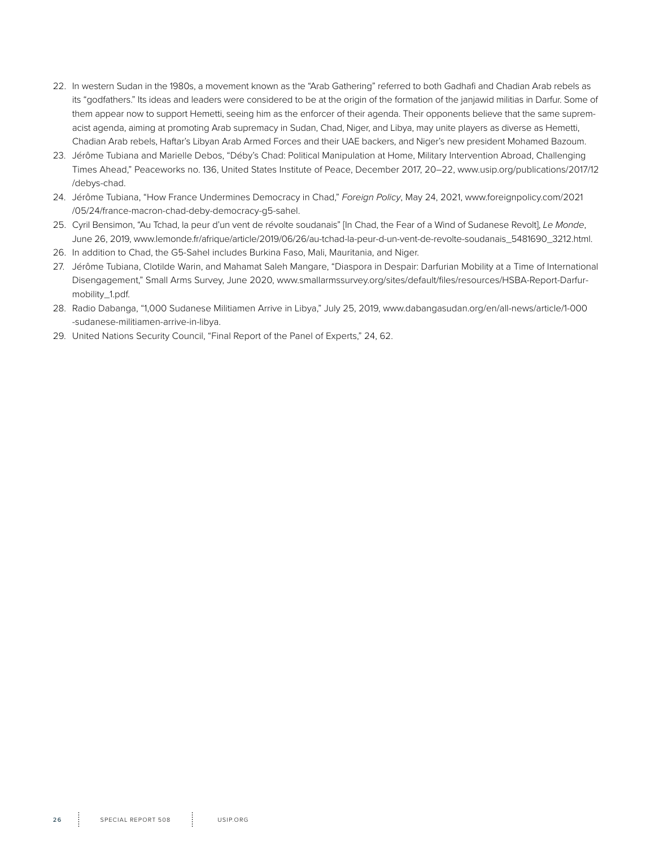- 22. In western Sudan in the 1980s, a movement known as the "Arab Gathering" referred to both Gadhafi and Chadian Arab rebels as its "godfathers." Its ideas and leaders were considered to be at the origin of the formation of the janjawid militias in Darfur. Some of them appear now to support Hemetti, seeing him as the enforcer of their agenda. Their opponents believe that the same supremacist agenda, aiming at promoting Arab supremacy in Sudan, Chad, Niger, and Libya, may unite players as diverse as Hemetti, Chadian Arab rebels, Haftar's Libyan Arab Armed Forces and their UAE backers, and Niger's new president Mohamed Bazoum.
- 23. Jérôme Tubiana and Marielle Debos, "Déby's Chad: Political Manipulation at Home, Military Intervention Abroad, Challenging Times Ahead," Peaceworks no. 136, United States Institute of Peace, December 2017, 20–22, www.usip.org/publications/2017/12 /debys-chad.
- 24. Jérôme Tubiana, "How France Undermines Democracy in Chad," *Foreign Policy*, May 24, 2021, www.foreignpolicy.com/2021 /05/24/france-macron-chad-deby-democracy-g5-sahel.
- 25. Cyril Bensimon, "Au Tchad, la peur d'un vent de révolte soudanais" [In Chad, the Fear of a Wind of Sudanese Revolt], *Le Monde*, June 26, 2019, www.lemonde.fr/afrique/article/2019/06/26/au-tchad-la-peur-d-un-vent-de-revolte-soudanais\_5481690\_3212.html.
- 26. In addition to Chad, the G5-Sahel includes Burkina Faso, Mali, Mauritania, and Niger.
- 27. Jérôme Tubiana, Clotilde Warin, and Mahamat Saleh Mangare, "Diaspora in Despair: Darfurian Mobility at a Time of International Disengagement," Small Arms Survey, June 2020, www.smallarmssurvey.org/sites/default/files/resources/HSBA-Report-Darfurmobility\_1.pdf.
- 28. Radio Dabanga, "1,000 Sudanese Militiamen Arrive in Libya," July 25, 2019, www.dabangasudan.org/en/all-news/article/1-000 -sudanese-militiamen-arrive-in-libya.
- 29. United Nations Security Council, "Final Report of the Panel of Experts," 24, 62.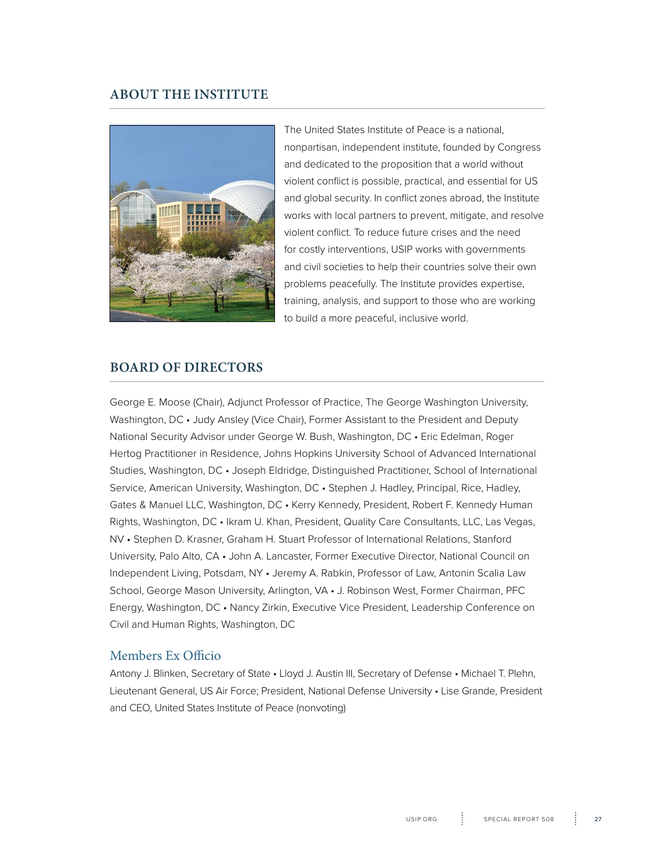#### **ABOUT THE INSTITUTE**



The United States Institute of Peace is a national, nonpartisan, independent institute, founded by Congress and dedicated to the proposition that a world without violent conflict is possible, practical, and essential for US and global security. In conflict zones abroad, the Institute works with local partners to prevent, mitigate, and resolve violent conflict. To reduce future crises and the need for costly interventions, USIP works with governments and civil societies to help their countries solve their own problems peacefully. The Institute provides expertise, training, analysis, and support to those who are working to build a more peaceful, inclusive world.

#### **BOARD OF DIRECTORS**

George E. Moose (Chair), Adjunct Professor of Practice, The George Washington University, Washington, DC • Judy Ansley (Vice Chair), Former Assistant to the President and Deputy National Security Advisor under George W. Bush, Washington, DC • Eric Edelman, Roger Hertog Practitioner in Residence, Johns Hopkins University School of Advanced International Studies, Washington, DC • Joseph Eldridge, Distinguished Practitioner, School of International Service, American University, Washington, DC • Stephen J. Hadley, Principal, Rice, Hadley, Gates & Manuel LLC, Washington, DC • Kerry Kennedy, President, Robert F. Kennedy Human Rights, Washington, DC • Ikram U. Khan, President, Quality Care Consultants, LLC, Las Vegas, NV • Stephen D. Krasner, Graham H. Stuart Professor of International Relations, Stanford University, Palo Alto, CA • John A. Lancaster, Former Executive Director, National Council on Independent Living, Potsdam, NY • Jeremy A. Rabkin, Professor of Law, Antonin Scalia Law School, George Mason University, Arlington, VA • J. Robinson West, Former Chairman, PFC Energy, Washington, DC • Nancy Zirkin, Executive Vice President, Leadership Conference on Civil and Human Rights, Washington, DC

#### Members Ex Officio

Antony J. Blinken, Secretary of State • Lloyd J. Austin III, Secretary of Defense • Michael T. Plehn, Lieutenant General, US Air Force; President, National Defense University • Lise Grande, President and CEO, United States Institute of Peace (nonvoting)